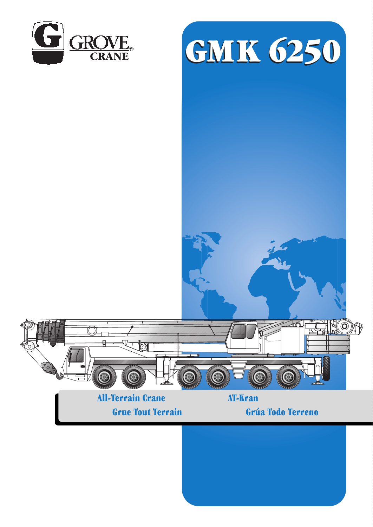



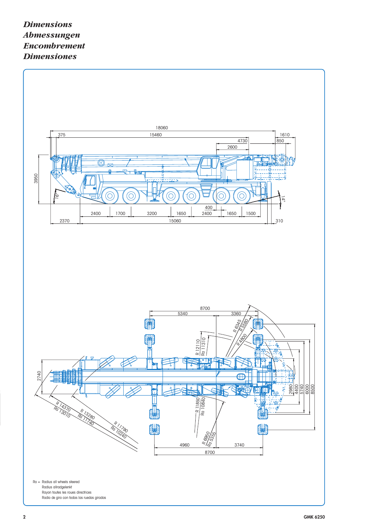## *Dimensions Abmessungen Encombrement Dimensiones*

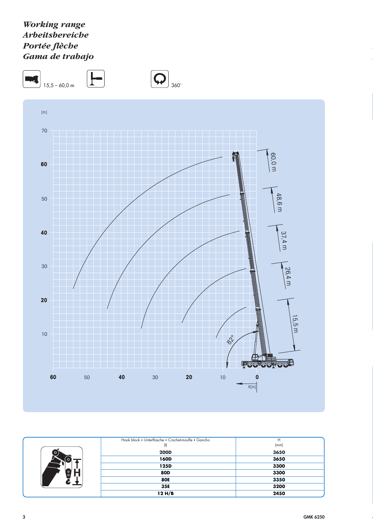## *Working range Arbeitsbereiche Portée flèche Gama de trabajo*



|               | Hook block • Unterflasche • Crochet-moufle • Gancho | Н    |
|---------------|-----------------------------------------------------|------|
|               | (t)                                                 | (mm) |
|               | <b>200D</b>                                         | 3650 |
|               | 160D                                                | 3650 |
|               | 125D                                                | 3300 |
| $\circ$<br>o. | <b>80D</b>                                          | 3300 |
|               | <b>80E</b>                                          | 3350 |
|               | 35E                                                 | 3200 |
|               | 12H/B                                               | 2450 |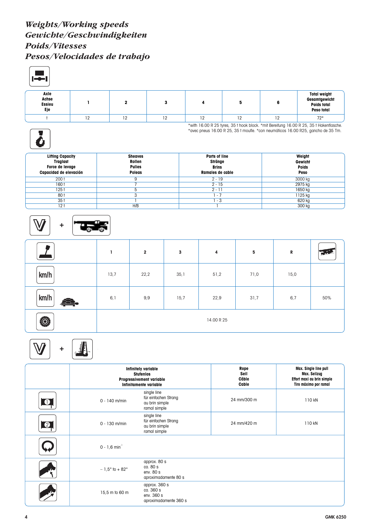## *Weights/Working speeds Gewichte/Geschwindigkeiten Poids/Vitesses Pesos/Velocidades de trabajo*

| Axle<br>Achse<br><b>Essieu</b><br>Eje |    | 2              | 3  | 4             | 5  | 6      | <b>Total weight</b><br>Gesamtgewicht<br>Poids total<br>Peso total                                                                                                          |  |
|---------------------------------------|----|----------------|----|---------------|----|--------|----------------------------------------------------------------------------------------------------------------------------------------------------------------------------|--|
|                                       | 12 | 12             | 12 | 12            | 12 | 12     | $72*$                                                                                                                                                                      |  |
|                                       |    |                |    |               |    |        | *with 16.00 R 25 tyres, 35 t hook block. *mit Bereifung 16.00 R 25, 35 t Hakenflasche.<br>*avec pneus 16.00 R 25, 35 t moufle. *con neumáticos 16.00 R25, gancho de 35 Tm. |  |
| <b>Lifting Capacity</b>               |    | <b>Sheaves</b> |    | Parts of line |    | Weight |                                                                                                                                                                            |  |

| <b>Lifting Capacity</b><br><b>Traglast</b><br>Force de levage<br>Capacidad de elevación | <b>Sheaves</b><br>Rollen<br><b>Pulies</b><br><b>Polegs</b> | Parts of line<br>Stränge<br><b>Brins</b><br>Ramales de cable | Weight<br><b>Gewicht</b><br><b>Poids</b><br>Peso |
|-----------------------------------------------------------------------------------------|------------------------------------------------------------|--------------------------------------------------------------|--------------------------------------------------|
| 200 t                                                                                   |                                                            | $2 - 19$                                                     | 3000 kg                                          |
| 160 t                                                                                   |                                                            | $2 - 15$                                                     | 2975 kg                                          |
| 125 t                                                                                   |                                                            | $2 - 1$                                                      | 1650 kg                                          |
| 80 t                                                                                    |                                                            | $\overline{\phantom{a}}$                                     | 1125 kg                                          |
| 35 <sub>1</sub>                                                                         |                                                            | - 3                                                          | 620 kg                                           |
| 12 <sub>1</sub>                                                                         | H/B                                                        |                                                              | 300 kg                                           |



|      |      | $\overline{2}$ | 3    | 4          | 5    | ${\bf R}$ | <b>THE</b> |
|------|------|----------------|------|------------|------|-----------|------------|
| km/h | 13,7 | 22,2           | 35,1 | 51,2       | 71,0 | 15,0      |            |
| km/h | 6,1  | 9,9            | 15,7 | 22,9       | 31,7 | 6,7       | 50%        |
| Ô,   |      |                |      | 14.00 R 25 |      |           |            |

|           |                                 | <b>Infinitely variable</b><br><b>Stufenlos</b><br><b>Progressivement variable</b><br>Infinitamente variable | Rope<br>Seil<br>Câble<br>Cable | Max. Single line pull<br>Max. Seilzug<br>Effort maxi au brin simple<br>Tiro máximo por ramal |
|-----------|---------------------------------|-------------------------------------------------------------------------------------------------------------|--------------------------------|----------------------------------------------------------------------------------------------|
| $\bullet$ | $0 - 140$ m/min                 | single line<br>für einfachen Strang<br>au brin simple<br>ramal simple                                       | 24 mm/300 m                    | 110 KN                                                                                       |
| $\bullet$ | $0 - 130$ m/min                 | single line<br>für einfachen Strang<br>au brin simple<br>ramal simple                                       | 24 mm/420 m                    | 110 KN                                                                                       |
|           | $0 - 1, 6$ min <sup>-1</sup>    |                                                                                                             |                                |                                                                                              |
|           | $-1.5^{\circ}$ to $+82^{\circ}$ | approx. 80 s<br>ca. 80 s<br>env. 80 s<br>aproximadamente 80 s                                               |                                |                                                                                              |
|           | 15,5 m to 60 m                  | approx. 360 s<br>ca. 360 s<br>env. 360 s<br>aproximadamente 360 s                                           |                                |                                                                                              |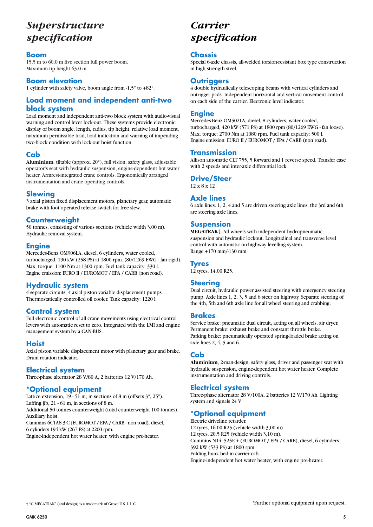# *Superstructure specification*

#### **Boom**

15,5 m to 60,0 m five section full power boom. Maximum tip height 63,0 m.

#### **Boom elevation**

1 cylinder with safety valve, boom angle from -1,5° to +82°.

## **Load moment and independent anti-two block system**

Load moment and independent anti-two block system with audio-visual warning and control lever lock-out. These systems provide electronic display of boom angle, length, radius, tip height, relative load moment, maximum permissible load, load indication and warning of impending two-block condition with lock-out hoist function.

## **Cab**

**Aluminium**, tiltable (approx. 20°), full vision, safety glass, adjustable operator's seat with hydraulic suspension, engine-dependent hot water heater. Armrest-integrated crane controls. Ergonomically arranged instrumentation and crane operating controls.

## **Slewing**

3 axial piston fixed displacement motors, planetary gear, automatic brake with foot operated release switch for free slew.

#### **Counterweight**

50 tonnes, consisting of various sections (vehicle width 3.00 m). Hydraulic removal system.

## **Engine**

Mercedes-Benz OM906LA, diesel, 6 cylinders, water cooled, turbocharged, 190 kW (258 PS) at 1800 rpm. (80/1269 EWG - fan rigid). Max. torque: 1100 Nm at 1300 rpm. Fuel tank capacity: 330 l. Engine emission: EURO II / EUROMOT / EPA / CARB (non road).

#### **Hydraulic system**

4 separate circuits, 4 axial piston variable displacement pumps. Thermostatically controlled oil cooler. Tank capacity: 1220 l.

## **Control system**

Full electronic control of all crane movements using electrical control levers with automatic reset to zero. Integrated with the LMI and engine management system by a CAN-BUS.

#### **Hoist**

Axial piston variable displacement motor with planetary gear and brake. Drum rotation indicator.

## **Electrical system**

Three-phase alternator 28 V/80 A, 2 batteries 12 V/170 Ah.

## **\*Optional equipment**

Lattice extension,  $19 - 51$  m, in sections of 8 m (offsets  $3^\circ$ ,  $25^\circ$ ). Luffing jib,  $21 - 61$  m, in sections of 8 m. Additional 50 tonnes counterweight (total counterweight 100 tonnes).

Auxiliary hoist.

Cummins 6CTA8.3-C (EUROMOT / EPA / CARB - non road), diesel, 6 cylinders 194 kW (267 PS) at 2200 rpm.

Engine-independent hot water heater, with engine pre-heater.

# *Carrier specification*

#### **Chassis**

Special 6-axle chassis, all-welded torsion-resistant box type construction in high strength steel.

## **Outriggers**

4 double hydraulically telescoping beams with vertical cylinders and outrigger pads. Independent horizontal and vertical movement control on each side of the carrier. Electronic level indicator.

#### **Engine**

Mercedes-Benz OM502LA, diesel, 8 cylinders, water cooled, turbocharged, 420 kW (571 PS) at 1800 rpm (80/1269 EWG - fan loose). Max. torque: 2700 Nm at 1080 rpm. Fuel tank capacity: 500 l. Engine emission: EURO II / EUROMOT / EPA / CARB (non road).

#### **Transmission**

Allison automatic CLT 755, 5 forward and 1 reverse speed. Transfer case with 2 speeds and inter-axle differential lock.

#### **Drive/Steer**

12 x 8 x 12

#### **Axle lines**

6 axle lines. 1, 2, 4 and 5 are driven steering axle lines, the 3rd and 6th are steering axle lines.

## **Suspension**

**MEGATRAK**†. All wheels with independent hydropneumatic suspension and hydraulic lockout. Longitudinal and transverse level control with automatic on-highway levelling system. Range +170 mm/-130 mm.

## **Tyres**

12 tyres, 14.00 R25.

#### **Steering**

Dual circuit, hydraulic power assisted steering with emergency steering pump. Axle lines 1, 2, 3, 5 and 6 steer on highway. Separate steering of the 4th, 5th and 6th axle line for all wheel steering and crabbing.

#### **Brakes**

Service brake: pneumatic dual circuit, acting on all wheels, air dryer. Permanent brake: exhaust brake and constant throttle brake. Parking brake: pneumatically operated spring-loaded brake acting on axle lines 2, 4, 5 and 6.

## **Cab**

**Aluminium**, 2-man-design, safety glass, driver and passenger seat with hydraulic suspension, engine-dependent hot water heater. Complete instrumentation and driving controls.

## **Electrical system**

Three-phase alternator 28 V/100A, 2 batteries 12 V/170 Ah. Lighting system and signals 24 V.

## **\*Optional equipment**

Electric driveline retarder. 12 tyres, 16.00 R25 (vehicle width 3,00 m). 12 tyres, 20.5 R25 (vehicle width 3,10 m). Cummins N14–525E + (EUROMOT / EPA / CARB), diesel, 6 cylinders 392 kW (533 PS) at 1800 rpm. Folding bunk bed in carrier cab. Engine-independent hot water heater, with engine pre-heater.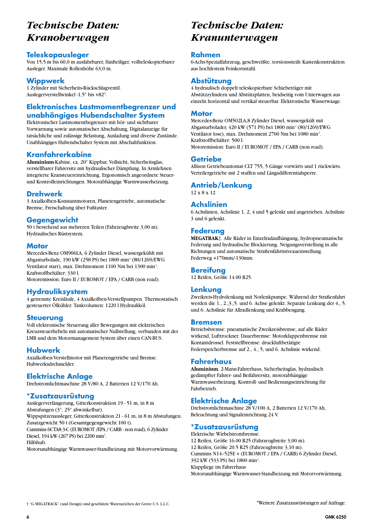# *Technische Daten: Kranoberwagen*

#### **Teleskopausleger**

Von 15,5 m bis 60,0 m ausfahrbarer, fünfteiliger, vollteleskopierbarer Ausleger. Maximale Rollenhöhe 63,0 m.

## **Wippwerk**

1 Zylinder mit Sicherheits-Rückschlagventil. Auslegerverstellwinkel -1,5° bis +82°.

## **Elektronisches Lastmomentbegrenzer und unabhängiges Hubendschalter System**

Elektronischer Lastmomentbegrenzer mit hör- und sichtbarer Vorwarnung sowie automatischer Abschaltung, Digitalanzeige für tatsächliche und zulässige Belastung, Ausladung und diverse Zustände. Unabhängiges Hubendschalter System mit Abschaltfunktion.

## **Kranfahrerkabine**

**Aluminium**-Kabine, ca. 20° Kippbar, Vollsicht, Sicherheitsglas, verstellbarer Fahrersitz mit hydraulischer Dämpfung. In Armlehnen integrierte Kransteuereinrichtung. Ergonomisch angeordnete Steuerund Kontrolleinrichtungen. Motorabhängige Warmwasserheizung.

## **Drehwerk**

3 Axialkolben-Konstantmotoren, Planetengetriebe, automatische Bremse, Freischaltung über Fußtaster.

#### **Gegengewicht**

50 t bestehend aus mehreren Teilen (Fahrzeugbreite 3,00 m). Hydraulisches Rüstsystem.

#### **Motor**

Mercedes-Benz OM906LA, 6 Zylinder Diesel, wassergekühlt mit Abgasturbolade, 190 kW (258 PS) bei 1800 min-1 (80/1269/EWG Ventilator starr), max. Drehmoment 1100 Nm bei 1300 min-1. Kraftstoffbehälter: 330 l.

Motoremission: Euro II / EUROMOT / EPA / CARB (non road).

## **Hydrauliksystem**

4 getrennte Kreisläufe, 4 Axialkolben-Verstellpumpen. Thermostatisch gesteuerter Ölkühler. Tankvolumen: 1220 l Hydrauliköl.

#### **Steuerung**

Voll elektronische Steuerung aller Bewegungen mit elektrischen Kreuzsteuerhebeln mit automatischer Nullstellung, verbunden mit der LMB und dem Motormanagement System über einen CAN-BUS.

#### **Hubwerk**

Axialkolben-Verstellmotor mit Planetengetriebe und Bremse. Hubwerksdrehmelder.

#### **Elektrische Anlage**

Drehstromlichtmaschine 28 V/80 A, 2 Batterien 12 V/170 Ah.

#### **\*Zusatzausrüstung**

Auslegerverlängerung, Gitterkonstruktion 19 - 51 m, in 8 m Abstufungen (3°, 25° abwinkelbar). Wippspitzenausleger, Gitterkonstruktion 21 - 61 m, in 8 m Abstufungen. Zusatzgewicht 50 t (Gesamtgegengewicht 100 t). Cummins 6CTA8.3-C (EUROMOT /EPA / CARB - non road), 6 Zylinder Diesel, 194 kW (267 PS) bei 2200 min<sup>1</sup>.

Hilfshub.

Motorunabhängige Warmwasser-Standheizung mit Motorvorwärmung.

# *Technische Daten: Kranunterwagen*

#### **Rahmen**

6-Achs-Spezialfahrzeug, geschweißte, torsionssteife Kastenkonstruktion aus hochfestem Feinkornstahl.

#### **Abstützung**

4 hydraulisch doppelt teleskopierbare Schiebeträger mit Abstützzylindern und Abstützplatten, beidseitig vom Unterwagen aus einzeln horizontal und vertikal steuerbar. Elektronische Wasserwaage.

#### **Motor**

Mercedes-Benz OM502LA,8 Zylinder Diesel, wassergekült mit Abgasturbolader, 420 kW (571 PS) bei 1800 min<sup>-1</sup> (80/1269/EWG Ventilator lose), max. Drehmoment 2700 Nm bei 1080 min-1. Kraftstoffbehälter: 500 l. Motoremission: Euro II / EUROMOT / EPA / CARB (non road).

#### **Getriebe**

Allison Getriebeautomat CLT 755, 5 Gänge vorwärts und 1 rückwärts. Verteilergetriebe mit 2 stuffen und Längsdifferentialsperre.

## **Antrieb/Lenkung**

12 x 8 x 12

## **Achslinien**

6 Achslinien, Achslinie 1, 2, 4 und 5 gelenkt und angetrieben. Achslinie 3 und 6 gelenkt.

## **Federung**

**MEGATRAK**†. Alle Räder in Einzelradaufhängung, hydropneumatische Federung und hydraulische Blockierung. Neigungsverstellung in alle Richtungen und automatische Straßenfahrtniveaueinstellung. Federweg +170mm/-130mm.

#### **Bereifung**

12 Reifen, Größe 14.00 R25.

#### **Lenkung**

Zweikreis-Hydrolenkung mit Notlenkpumpe. Während der Straßenfahrt werden die 1., 2.,3.,5. und 6. Achse gelenkt. Separate Lenkung der 4., 5. und 6. Achslinie für Allradlenkung und Krabbengang.

#### **Bremsen**

Betriebsbremse: pneumatische Zweikreisbremse, auf alle Räder wirkend, Lufttrockner. Dauerbremse: Motorklappenbremse mit Kontantdrossel. Feststellbremse: druckluftbetätigte Federspeicherbremse auf 2., 4., 5, und 6. Achslinie wirkend.

#### **Fahrerhaus**

**Aluminium**, 2-Mann-Fahrerhaus, Sicherheitsglas, hydraulisch gedämpfter Fahrer- und Beifahrersitz, motorabhängige Warmwasserheizung. Kontroll- und Bedienungseinrichtung für Fahrbetrieb.

## **Elektrische Anlage**

Drehstromlichtmaschine 28 V/100 A, 2 Batterien 12 V/170 Ah, Beleuchtung und Signaleinrichtung 24 V.

## **\*Zusatzausrüstung**

Elektrische Wirbelstrombremse. 12 Reifen, Größe 16.00 R25 (Fahrzeugbreite 3,00 m). 12 Reifen, Größe 20.5 R25 (Fahrzeugbreite 3,10 m). Cummins N14–525E + (EUROMOT / EPA / CARB) 6 Zylinder Diesel, 392 kW (533 PS) bei 1800 min-1. Klappliege im Fahrerhaus Motorunabhängige Warmwasser-Standheizung mit Motorvorwärmung.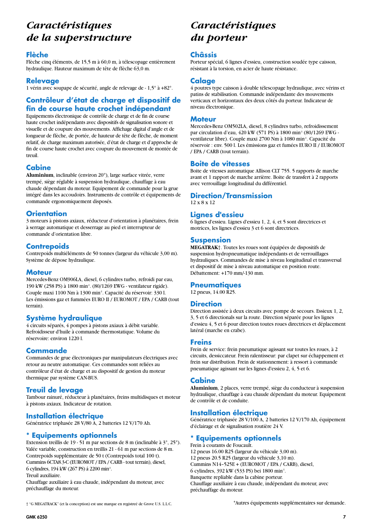# *Caractéristiques de la superstructure*

#### **Flèche**

Flèche cinq éléments, de 15,5 m à 60,0 m, à télescopage entièrement hydraulique. Hauteur maximum de tête de flèche 63,0 m.

## **Relevage**

1 vérin avec soupape de sécurité, angle de relevage de - 1,5° à +82°.

## **Contrôleur d'état de charge et dispositif de fin de course haute crochet indépendant**

Equipements électronique de contrôle de charge et de fin de course haute crochet indépendants avec dispositifs de signalisation sonore et visuelle et de coupure des mouvements. Affichage digital d'angle et de longueur de flèche, de portée, de hauteur de tête de flèche, de moment relatif, de charge maximum autorisée, d'état de charge et d'approche de fin de course haute crochet avec coupure du mouvement de montée de treuil.

## **Cabine**

**Aluminium**, inclinable (environ 20°), large surface vitrée, verre trempé, siège réglable à suspension hydraulique, chauffage à eau chaude dépendant du moteur. Equipement de commande pour la grue intégré dans les accoudoirs. Instruments de contrôle et équipements de commande ergonomiquement disposés.

## **Orientation**

3 moteurs à pistons axiaux, réducteur d'orientation à planétaires, frein à serrage automatique et desserrage au pied et interrupteur de commande d'orientation libre.

## **Contrepoids**

Contrepoids multiéléments de 50 tonnes (largeur du véhicule 3,00 m). Système de dépose hydraulique.

#### **Moteur**

Mercedes-Benz OM906LA, diesel, 6 cylindres turbo, refroidi par eau, 190 kW (258 PS) à 1800 min-1. (80/1269 EWG - ventilateur rigide). Couple maxi 1100 Nm à 1300 min-1. Capacité du réservoir: 330 l. Les émissions gaz et fummées EURO II / EUROMOT / EPA / CARB (tout terrain).

## **Système hydraulique**

4 circuits séparés, 4 pompes à pistons axiaux à débit variable. Refroidisseur d'huile à commande thermostatique. Volume du réservoire: environ 1220 l.

#### **Commande**

Commandes de grue électroniques par manipulateurs électriques avec retour au neutre automatique. Ces commandes sont reliées au contrôleur d'état de charge et au dispositif de gestion du moteur thermique par système CAN-BUS.

## **Treuil de levage**

Tambour rainuré, réducteur à planétaires, freins multidisques et moteur à pistons axiaux. Indicateur de rotation.

## **Installation électrique**

Génératrice triphasée 28 V/80 A, 2 batteries 12 V/170 Ah.

## **Equipements optionnels**

Extension treillis de 19 - 51 m par sections de 8 m (inclinable à 3°, 25°). Valée variable, construction en treillis 21 - 61 m par sections de 8 m. Contrepoids supplémentaire de 50 t (Contrepoids total 100 t). Cummins 6CTA8.3-C (EUROMOT / EPA / CARB - tout terrain), diesel, 6 cylindres, 194 kW (267 PS) á 2200 min-1. Treuil auxiliaire.

Chauffage auxiliaire â eau chaude, indépendant du moteur, avec préchauffage du moteur.

# *Caractéristiques du porteur*

#### **Châssis**

Porteur spécial, 6 lignes d'essieu, construction soudée type caisson, résistant à la torsion, en acier de haute résistance.

## **Calage**

4 poutres type caisson à double télescopage hydraulique, avec vérins et patins de stabilisation. Commande indépendante des mouvements verticaux et horizontaux des deux côtés du porteur. Indicateur de niveau électronique.

#### **Moteur**

Mercedes-Benz OM502LA, diesel, 8 cylindres turbo, refroidissement par circulation d'eau, 420 kW (571 PS) à 1800 min-1 (80/1269 EWG ventilateur libre). Couple maxi 2700 Nm à 1080 min-1. Capacité du réservoir : env. 500 l. Les émissions gaz et fumées EURO II / EUROMOT / EPA / CARB (tout terrain).

#### **Boite de vitesses**

Boite de vitesses automatique Allison CLT 755. 5 rapports de marche avant et 1 rapport de marche arrièrre. Boite de transfert à 2 rapports avec verrouillage longitudinal du différentiel.

## **Direction/Transmission**

12 x 8 x 12

## **Lignes d'essieu**

6 lignes d'essieu. Lignes d'essieu 1, 2, 4, et 5 sont directrices et motrices, les lignes d'essieu 3 et 6 sont directrices.

## **Suspension**

**MEGATRAK**†. Toutes les roues sont équipées de dispositifs de suspension hydropneumatique indépendants et de verrouillages hydrauliques. Commandes de mise à niveau longitudinal et transversal et dispositif de mise à niveau automatique en position route. Débattement: +170 mm/-130 mm.

## **Pneumatiques**

12 pneus, 14.00 R25.

## **Direction**

Direction assistée à deux circuits avec pompe de secours. Essieux 1, 2, 3, 5 et 6 directionals sur la route. Direction séparée pour les lignes d'essieu 4, 5 et 6 pour direction toutes roues directrices et déplacement latéral (marche en crabe).

#### **Freins**

Frein de service: frein pneumatique agissant sur toutes les roues, à 2 circuits, dessiccateur. Frein ralentisseur: par clapet sur échappement et frein sur distribution. Frein de stationnement: à ressort à commande pneumatique agissant sur les lignes d'essieu 2, 4, 5 et 6.

## **Cabine**

**Aluminium**, 2 places, verre trempé, siège du conducteur à suspension hydraulique, chauffage à eau chaude dépendant du moteur. Equipement de contrôle et de conduite.

## **Installation électrique**

Génératrice triphasée 28 V/100 A, 2 batteries 12 V/170 Ah, équipement d'éclairage et de signalisation routière 24 V.

## **\* Equipements optionnels**

Frein à courants de Foucault. 12 pneus 16.00 R25 (largeur du véhicule 3,00 m). 12 pneus 20.5 R25 (largeur du véhicule 3,10 m). Cummins N14–525E + (EUROMOT / EPA / CARB), diesel, 6 cylindres, 392 kW (533 PS) bei 1800 min-1. Banquette repliable dans la cabine porteur. Chauffage auxiliaire â eau chaude, indépendant du moteur, avec préchauffage du moteur.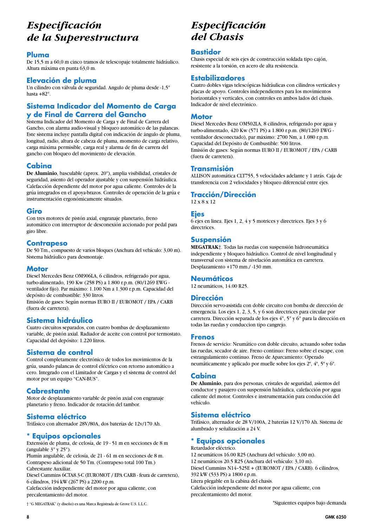# *Especificación de la Superestructura*

#### **Pluma**

De 15,5 m a 60,0 m cinco tramos de telescopaje totalmente hidráulico. Altura máxima en punta 63,0 m.

#### **Elevación de pluma**

Un cilindro con válvula de seguridad. Angulo de pluma desde -1,5° hasta +82°.

## **Sistema Indicador del Momento de Carga y de Final de Carrera del Gancho**

Sistema Indicador del Momento de Carga y de Final de Carrera del Gancho, con alarma audio-visual y bloqueo automático de las palancas. Este sistema incluye pantalla digital con indicación de ángulo de pluma, longitud, radio, altura de cabeza de pluma, momento de carga relativo, carga máxima permisible, carga real y alarma de fin de carrera del gancho con bloqueo del movimiento de elevación.

## **Cabina**

**De Aluminio**, basculable (aprox. 20°), amplia visibilidad, cristales de seguridad, asiento del operador ajustable y con suspensión hidráulica. Calefacción dependiente del motor por agua caliente. Controles de la grúa integrados en el apoya-brazos. Controles de operación de la grúa e instrumentación ergonómicamente situados.

#### **Giro**

Con tres motores de pistón axial, engranaje planetario, freno automático con interruptor de desconexión accionado por pedal para giro libre.

#### **Contrapeso**

De 50 Tm., compuesto de varios bloques (Anchura del vehículo: 3,00 m). Sistema hidráulico para desmontaje.

## **Motor**

Diesel Mercedes Benz OM906LA, 6 cilindros, refrigerado por agua, turbo-alimentado, 190 Kw (258 PS) a 1.800 r.p.m. (80/1269 EWG ventilador fijo). Par máximo: 1.100 Nm a 1.300 r.p.m. Capacidad del depósito de combustible: 330 litros. Emisión de gases: Según normas EURO II / EUROMOT / EPA / CARB

(fuera de carretera).

## **Sistema hidráulico**

Cuatro circuitos separados, con cuatro bombas de desplazamiento variable, de pistón axial. Radiador de aceite con control por termostato. Capacidad del depósito: 1.220 litros.

#### **Sistema de control**

Control completamente electrónico de todos los movimientos de la grúa, usando palancas de control eléctrico con retorno automático a cero. Integrado con el Limitador de Cargas y el sistema de control del motor por un equipo "CAN-BUS".

## **Cabrestante**

Motor de desplazamiento variable de pistón axial con engranaje planetario y freno. Indicador de rotación del tambor.

#### **Sistema eléctrico**

Trifásico con alternador 28V/80A, dos baterías de 12v/170 Ah.

#### **\* Equipos opcionales**

Extensión de pluma, de celosía, de 19 - 51 m en secciones de 8 m (angulable 3° y 25°).

Plumín angulable, de celosía, de 21 - 61 m en secciones de 8 m. Contrapeso adicional de 50 Tm. (Contrapeso total 100 Tm.) Cabrestante Auxiliar.

Diesel Cummins 6CTA8.3-C (EUROMOT / EPA CARB - feura de carretera), 6 cilindros, 194 kW (267 PS) a 2200 r.p.m.

Calefacción independiente del motor por agua caliente, con precalentamiento del motor.

† "G MEGATRAK" (y diseño) es una Marca Registrada de Grove U.S. L.L.C. \*Siguientes equipos bajo demanda

# *Especificación del Chasis*

#### **Bastidor**

Chasis especial de seis ejes de construcción soldada tipo cajón, resistente a la torsión, en acero de alta resistencia.

#### **Estabilizadores**

Cuatro dobles vigas telescópicas hidráulicas con cilindros verticales y placas de apoyo. Controles independientes para los movimientos horizontales y verticales, con controles en ambos lados del chasis. Indicador de nivel electrónico.

#### **Motor**

Diesel Mercedes Benz OM502LA, 8 cilindros, refrigerado por agua y turbo-alimentado, 420 Kw (571 PS) a 1.800 r.p.m. (80/1269 EWG ventilador desconectado), par máximo: 2700 Nm, a 1.080 r.p.m. Capacidad del Depósito de Combustible: 500 litros. Emisión de gases: Según normas EURO II / EUROMOT / EPA / CARB (fuera de carretera).

#### **Transmisión**

ALLISON automática CLT755, 5 velocidades adelante y 1 atrás. Caja de transferencia con 2 velocidades y bloqueo diferencial entre ejes.

#### **Tracción/Dirección**

12 x 8 x 12

#### **Ejes**

6 ejes en linea. Ejes 1, 2, 4 y 5 motrices y directrices. Ejes 3 y 6 directrices.

## **Suspensión**

**MEGATRAK**†. Todas las ruedas con suspensión hidroneumática independiente y bloqueo hidráulico. Control de nivel longitudinal y transversal con sistema de nivelación automática en carretera. Desplazamiento +170 mm./ -130 mm.

#### **Neumáticos**

12 neumáticos, 14.00 R25.

#### **Dirección**

Dirección servo-asistida con doble circuito con bomba de dirección de emergencia. Los ejes 1, 2, 3, 5, y 6 son directrices para circular por carretera. Dirección separada de los ejes 4°, 5° y 6° para la dirección en todas las ruedas y conduccion tipo cangrejo.

#### **Frenos**

Frenos de servicio: Neumático con doble circuito, actuando sobre todas las ruedas, secador de aire. Freno contínuo: Freno sobre el escape, con estrangulamiento contínuo. Freno de Aparcamiento: Operado neumáticamente y aplicado por muelle sobre los ejes 2º, 4º, 5º y 6º.

#### **Cabina**

**De Aluminio**, para dos personas, cristales de seguridad, asientos del conductor y pasajero con suspensión hidráulica, calefacción por agua caliente del motor. Controles e instrumentación para conducción del vehículo.

## **Sistema eléctrico**

Trifásico, alternador de 28 V/100A, 2 baterías 12 V/170 Ah. Sistema de alumbrado y señalización a 24 V.

## **\* Equipos opcionales**

#### Retardador eléctrico.

12 neumáticos 16.00 R25 (Anchura del vehículo: 3,00 m). 12 neumáticos 20.5 R25 (Anchura del vehículo: 3,10 m). Diesel Cummins N14–525E + (EUROMOT / EPA / CARB). 6 cilindros, 392 kW (533 PS) a 1800 r.p.m. Litera plegable en la cabina del chasis. Calefacción independiente del motor por agua caliente, con precalentamiento del motor.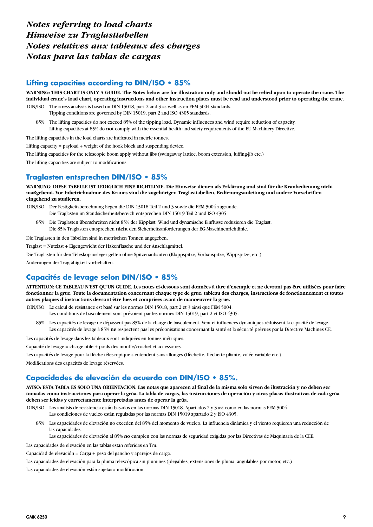## *Notes referring to load charts Hinweise zu Traglasttabellen Notes relatives aux tableaux des charges Notas para las tablas de cargas*

#### **Lifting capacities according to DIN/ISO • 85%**

**WARNING: THIS CHART IS ONLY A GUIDE. The Notes below are for illustration only and should not be relied upon to operate the crane. The individual crane's load chart, operating instructions and other instruction plates must be read and understood prior to operating the crane.**

- DIN/ISO: The stress analysis is based on DIN 15018, part 2 and 3 as well as on FEM 5004 standards. Tipping conditions are governed by DIN 15019, part 2 and ISO 4305 standards.
	- 85%: The lifting capacities do not exceed 85% of the tipping load. Dynamic influences and wind require reduction of capacity. Lifting capacities at 85% do **not** comply with the essential health and safety requirements of the EU Machinery Directive.

The lifting capacities in the load charts are indicated in metric tonnes.

Lifting capacity = payload + weight of the hook block and suspending device.

The lifting capacities for the telescopic boom apply without jibs (swingaway lattice, boom extension, luffing-jib etc.)

The lifting capacities are subject to modifications.

## **Traglasten entsprechen DIN/ISO • 85%**

**WARNUNG: DIESE TABELLE IST LEDIGLICH EINE RICHTLINIE. Die Hinweise dienen als Erklärung und sind für die Kranbedienung nicht maßgebend. Vor Inbetriebnahme des Kranes sind die zugehörigen Traglasttabellen, Bedienungsanleitung und andere Vorschriften eingehend zu studieren.**

- DIN/ISO: Der Festigkeitsberechnung liegen die DIN 15018 Teil 2 und 3 sowie die FEM 5004 zugrunde. Die Traglasten im Standsicherheitsbereich entsprechen DIN 15019 Teil 2 und ISO 4305.
	- 85%: Die Traglasten überschreiten nicht 85% der Kipplast. Wind und dynamische Einflüsse reduzieren die Traglast. Die 85% Traglasten entsprechen **nicht** den Sicherheitsanforderungen der EG-Maschinenrichtlinie.

Die Traglasten in den Tabellen sind in metrischen Tonnen angegeben.

Traglast = Nutzlast + Eigengewicht der Hakenflasche und der Anschlagmittel.

Die Traglasten für den Teleskopausleger gelten ohne Spitzenanbauten (Klappspitze, Vorbauspitze, Wippspitze, etc.)

Änderungen der Tragfähigkeit vorbehalten.

## **Capacités de levage selon DIN/ISO • 85%**

**ATTENTION: CE TABLEAU N'EST QU'UN GUIDE. Les notes ci-dessous sont données à titre d'exemple et ne devront pas être utilisées pour faire fonctionner la grue. Toute la documentation concernant chaque type de grue: tableau des charges, instructions de fonctionnement et toutes autres plaques d'instructions devront être lues et comprises avant de manoeuvrer la grue.**

DIN/ISO: Le calcul de résistance est basé sur les normes DIN 15018, part 2 et 3 ainsi que FEM 5004.

- Les conditions de basculement sont prévoient par les normes DIN 15019, part 2 et ISO 4305.
- 85%: Les capacités de levage ne dépassent pas 85% de la charge de basculement. Vent et influences dynamiques réduissent la capacité de levage. Les capacités de levage à 85% **ne** respectent pas les préconisations concernant la santé et la sécurité prévues par la Directive Machines CE.

Les capacités de levage dans les tableaux sont indiquées en tonnes métriques.

Capacité de levage = charge utile + poids des moufle/crochet et accessoires.

Les capacités de levage pour la flèche télescopique s'entendent sans allonges (flèchette, flèchette pliante, volée variable etc.)

Modifications des capacités de levage réservées.

## **Capacidades de elevación de acuerdo con DIN/ISO • 85%.**

**AVISO: ESTA TABLA ES SOLO UNA ORIENTACION. Las notas que aparecen al final de la misma solo sirven de ilustración y no deben ser tomadas como instrucciones para operar la grúa. La tabla de cargas, las instrucciones de operación y otras placas ilustrativas de cada grúa deben ser leídas y correctamente interpretadas antes de operar la grúa.**

DIN/ISO: Los analisis de resistencia están basados en las normas DIN 15018. Apartados 2 y 3 asi como en las normas FEM 5004. Las condiciones de vuelco están reguladas por las normas DIN 15019 apartado 2 y ISO 4305.

85%: Las capacidades de elevación no exceden del 85% del momento de vuelco. La influencia dinámica y el viento requieren una reducción de las capacidades.

Las capacidades de elevación al 85% **no** cumplen con las normas de seguridad exigidas por las Directivas de Maquinaria de la CEE.

Las capacidades de elevación en las tablas estan referidas en Tm.

Capacidad de elevación = Carga + peso del gancho y aparejos de carga.

Las capacidades de elevación para la pluma telescópica sin plumines (plegables, extensiones de pluma, angulables por motor, etc.)

Las capacidades de elevación están sujetas a modificación.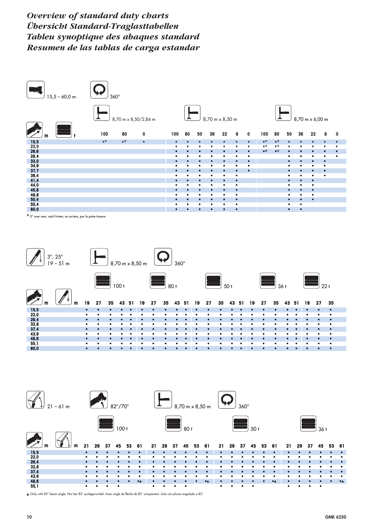*Overview of standard duty charts Übersicht Standard-Traglasttabellen Tableu synoptique des abaques standard Resumen de las tablas de carga estandar*



\* 0° over rear, nach hinten, en arrière, por la porte trasera



▲ Only with 82° boom angle. Nur bei 82° auslegerwinkel. Avec angle de flèche de 82° uniquement. Solo con pluma angulada a 82°.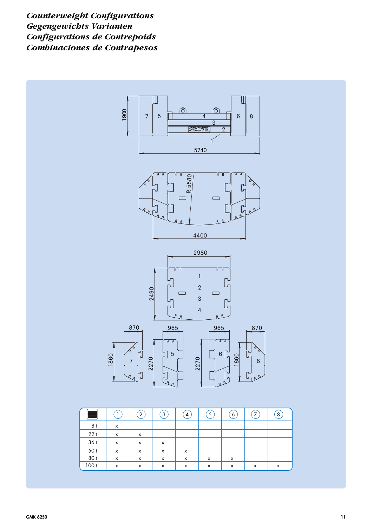*Counterweight Configurations Gegengewichts Varianten Configurations de Contrepoids Combinaciones de Contrapesos*



| ÷,   |                           | $2 \,$                    | $\mathbf{3}$ | 4                         | $\overline{\mathbf{5}}$ | $\mathfrak{b}$ | 7 | $\mathbf{8}$ |
|------|---------------------------|---------------------------|--------------|---------------------------|-------------------------|----------------|---|--------------|
| 8 t  | X                         |                           |              |                           |                         |                |   |              |
| 22t  | $\boldsymbol{\mathsf{x}}$ | $\boldsymbol{\mathsf{x}}$ |              |                           |                         |                |   |              |
| 36t  | x                         | х                         | х            |                           |                         |                |   |              |
| 50t  | x                         | x                         | x            | x                         |                         |                |   |              |
| 80 t | x                         | X                         | X            | X                         | x                       | x              |   |              |
| 100t | $\boldsymbol{\mathsf{x}}$ | X                         | X            | $\boldsymbol{\mathsf{x}}$ | X                       | х              | x | x            |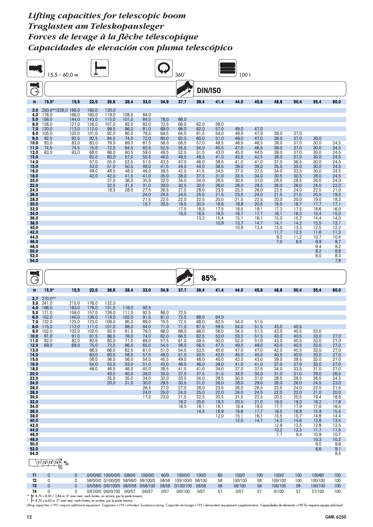|                                                                                                                                                                                                                                                               | $15,5 - 60,0$ m                                                                                               |                                                                                     |                                                                                                                             |                                                                                                                                                    |                                                                                                                                         |                                                                                                                                                              |                                                                                                                                                      | 360                                                                                                                                                                  |                                                                                                                                                                      |                                                                                                                                                                              | 100t                                                                                                                                                                         |                                                                                                                                                                              |                                                                                                                                                                                             |                                                                                                                                                                                             |                                                                                                                                                                                                            |                                                                                                                                                                                                           |
|---------------------------------------------------------------------------------------------------------------------------------------------------------------------------------------------------------------------------------------------------------------|---------------------------------------------------------------------------------------------------------------|-------------------------------------------------------------------------------------|-----------------------------------------------------------------------------------------------------------------------------|----------------------------------------------------------------------------------------------------------------------------------------------------|-----------------------------------------------------------------------------------------------------------------------------------------|--------------------------------------------------------------------------------------------------------------------------------------------------------------|------------------------------------------------------------------------------------------------------------------------------------------------------|----------------------------------------------------------------------------------------------------------------------------------------------------------------------|----------------------------------------------------------------------------------------------------------------------------------------------------------------------|------------------------------------------------------------------------------------------------------------------------------------------------------------------------------|------------------------------------------------------------------------------------------------------------------------------------------------------------------------------|------------------------------------------------------------------------------------------------------------------------------------------------------------------------------|---------------------------------------------------------------------------------------------------------------------------------------------------------------------------------------------|---------------------------------------------------------------------------------------------------------------------------------------------------------------------------------------------|------------------------------------------------------------------------------------------------------------------------------------------------------------------------------------------------------------|-----------------------------------------------------------------------------------------------------------------------------------------------------------------------------------------------------------|
| $\vec{\Theta}$                                                                                                                                                                                                                                                |                                                                                                               |                                                                                     |                                                                                                                             |                                                                                                                                                    |                                                                                                                                         |                                                                                                                                                              |                                                                                                                                                      |                                                                                                                                                                      | <b>DIN/ISO</b>                                                                                                                                                       |                                                                                                                                                                              |                                                                                                                                                                              |                                                                                                                                                                              |                                                                                                                                                                                             |                                                                                                                                                                                             |                                                                                                                                                                                                            |                                                                                                                                                                                                           |
| m                                                                                                                                                                                                                                                             | $15,5*$                                                                                                       | 15,5                                                                                | 22,0                                                                                                                        | 26,6                                                                                                                                               | 28,4                                                                                                                                    | 33,0                                                                                                                                                         | 34,9                                                                                                                                                 | 37,7                                                                                                                                                                 | 39,4                                                                                                                                                                 | 41,4                                                                                                                                                                         | 44,0                                                                                                                                                                         | 45,8                                                                                                                                                                         | 48,8                                                                                                                                                                                        | 50,4                                                                                                                                                                                        | 55,4                                                                                                                                                                                                       | 60,0                                                                                                                                                                                                      |
| 3,0<br>4,0<br>5,0<br>6,0<br>7,0<br>8,0<br>9,0<br>10,0<br>11,0<br>12,0<br>13,0<br>14,0<br>15,0<br>16,0<br>18,0<br>20,0<br>22,0<br>24,0<br>26,0<br>28,0<br>30,0<br>32,0<br>34,0<br>36,0<br>38,0<br>40,0<br>42,0<br>44,0<br>46,0<br>48,0<br>50,0<br>52,0<br>54,0 | 250,0**/226,0 195,0<br>178,0<br>156,0<br>138,0<br>120,0<br>105,0<br>92,5<br>83,0<br>74,5<br>63,0              | 166,0<br>144,0<br>127,0<br>113,0<br>102,0<br>92,5<br>83,0<br>74,5<br>63,0           | 160,0<br>160,0<br>143,0<br>126,0<br>112,0<br>101,0<br>92,5<br>83,0<br>75,0<br>68,0<br>62,0<br>57,0<br>53,0<br>49,0<br>42,0  | 120,0<br>119,0<br>115,0<br>107,0<br>99,5<br>92,0<br>84,5<br>79,0<br>72,5<br>66,0<br>60,0<br>55,0<br>51,0<br>48,5<br>42,0<br>37,0<br>32,5<br>18,3   | 108,0<br>101,0<br>93,5<br>86,0<br>80,0<br>74,0<br>69,0<br>64,5<br>60,5<br>57,0<br>53,5<br>50,5<br>48,0<br>41,5<br>36,0<br>31,5<br>28,0  | 84,0<br>84,0<br>83,0<br>81,0<br>76,5<br>72,0<br>67,5<br>62,5<br>59,0<br>55,5<br>51,5<br>49,0<br>46,0<br>41,0<br>35,5<br>31,0<br>27,5<br>24,0<br>21,5<br>15,7 | 78,0<br>73,5<br>69,0<br>64,5<br>60,0<br>56,0<br>52,5<br>49,5<br>46,5<br>43,5<br>41,5<br>39,5<br>35,0<br>32,0<br>29,0<br>26,5<br>24,5<br>22,5<br>20,5 | 66,0<br>66,0<br>66,0<br>64,5<br>62,0<br>58,5<br>55,5<br>52,5<br>49,5<br>47,0<br>44,5<br>42,5<br>38,0<br>34,0<br>30,5<br>27,5<br>24,5<br>22,0<br>19,5<br>17,5<br>15,0 | 62,0<br>62,0<br>61,5<br>60,0<br>57,0<br>54,0<br>51,5<br>48,5<br>46,0<br>44,0<br>41,5<br>37,5<br>34,0<br>30,5<br>28,0<br>25,5<br>22,5<br>20,5<br>18,3<br>16,5<br>13,2 | 58,0<br>57,0<br>54,0<br>51,0<br>48,5<br>45,5<br>43,0<br>41,0<br>38,5<br>36,5<br>34,5<br>31,0<br>28,5<br>26,0<br>23,5<br>21,5<br>20,0<br>18,6<br>17,5<br>16,5<br>15,4<br>10,9 | 49,0<br>49,0<br>49,0<br>48,5<br>47,0<br>45,0<br>43,0<br>41,0<br>39,0<br>37,0<br>33,5<br>30,5<br>28,0<br>25,5<br>23,5<br>21,5<br>19,8<br>18,5<br>16,7<br>15,1<br>13,7<br>10,9 | 47,0<br>47,0<br>47,0<br>46,5<br>46,5<br>44,5<br>42,5<br>41,0<br>39,0<br>37,5<br>34,0<br>31,0<br>28,5<br>26,0<br>24,0<br>22,5<br>20,5<br>19,1<br>17,7<br>16,1<br>14,7<br>13,4 | 39,0<br>39,0<br>39,0<br>39,0<br>39,0<br>38,0<br>37,0<br>35,5<br>34,0<br>30,5<br>28,5<br>26,0<br>23,5<br>21,5<br>20,0<br>18,5<br>17,3<br>16,1<br>15,0<br>14,1<br>13,0<br>11,7<br>9,2<br>7,0  | 37,0<br>37,0<br>37,0<br>37,0<br>37,0<br>37,0<br>36,5<br>35,0<br>33,5<br>30,5<br>28,5<br>26,0<br>24,0<br>21,5<br>20,0<br>18,7<br>17,5<br>16,3<br>15,2<br>14,2<br>13,3<br>12,3<br>11,2<br>8,5 | 30,0<br>30,0<br>30,0<br>30,0<br>30,0<br>30,0<br>30,0<br>30,0<br>28,0<br>26,0<br>24,0<br>22,5<br>20,5<br>19,0<br>17,7<br>16,6<br>15,4<br>14,4<br>13,5<br>12,5<br>11,6<br>10,7<br>9,9<br>9,4<br>8,2<br>6,0   | 24,5<br>24,5<br>24,5<br>24,5<br>24,5<br>24,5<br>24,5<br>24,5<br>24,0<br>22,0<br>21,0<br>19,5<br>18,3<br>17,1<br>16,0<br>15,0<br>14,0<br>13,1<br>12,2<br>11,3<br>10,4<br>9,7<br>9,2<br>8,8<br>8,3<br>7,8   |
| Э                                                                                                                                                                                                                                                             |                                                                                                               |                                                                                     |                                                                                                                             |                                                                                                                                                    |                                                                                                                                         |                                                                                                                                                              |                                                                                                                                                      |                                                                                                                                                                      | 85%                                                                                                                                                                  |                                                                                                                                                                              |                                                                                                                                                                              |                                                                                                                                                                              |                                                                                                                                                                                             |                                                                                                                                                                                             |                                                                                                                                                                                                            |                                                                                                                                                                                                           |
| m<br>2,7                                                                                                                                                                                                                                                      | $15,5*$<br>270,0**                                                                                            | 15,5                                                                                | 22,0                                                                                                                        | 26,6                                                                                                                                               | 28,4                                                                                                                                    | 33,0                                                                                                                                                         | 34,9                                                                                                                                                 | 37,7                                                                                                                                                                 | 39,4                                                                                                                                                                 | 41,4                                                                                                                                                                         | 44,0                                                                                                                                                                         | 45,8                                                                                                                                                                         | 48,8                                                                                                                                                                                        | 50,4                                                                                                                                                                                        | 55,4                                                                                                                                                                                                       | 60,0                                                                                                                                                                                                      |
| 3,0<br>4,0<br>5,0<br>6,0<br>7,0<br>8,0<br>9,0<br>10,0<br>11,0<br>12,0<br>13,0<br>14,0<br>15,0<br>16,0<br>18,0<br>20,0<br>22,0<br>24,0<br>26,0<br>28,0<br>30,0<br>32,0<br>34,0<br>36,0<br>38,0<br>40,0<br>42,0<br>44,0<br>46,0<br>48,0<br>50,0<br>52,0<br>54,0 | 241,0<br>196,0<br>171,0<br>152,0<br>132,0<br>115,0<br>102,0<br>91,0<br>82,0<br>69,0<br>$\sqrt{11/12/13/14}$ % | 215,0<br>183,0<br>159,0<br>140,0<br>125,0<br>112,0<br>102,0<br>91,0<br>82,0<br>69,0 | 176,0<br>176,0<br>157,0<br>138,0<br>123,0<br>111,0<br>102,0<br>91,5<br>82,5<br>75,0<br>68,5<br>63,0<br>58,0<br>54,0<br>46,0 | 132,0<br>131,0<br>126,0<br>118,0<br>109,0<br>101,0<br>93,0<br>86,5<br>80,0<br>72,5<br>66,0<br>60,5<br>56,5<br>53,5<br>46,5<br>40,5<br>35,5<br>20,0 | 119,0<br>111,0<br>103,0<br>95,0<br>88,0<br>81,5<br>76,0<br>71,0<br>66,5<br>62,5<br>58,5<br>56,0<br>53,0<br>46,0<br>40,0<br>35,0<br>31,0 | 92,5<br>92,5<br>91,5<br>89,0<br>84,0<br>79,0<br>74,0<br>69,0<br>65,0<br>61,0<br>57,0<br>54,0<br>51,0<br>45,0<br>39,0<br>34,0<br>30,0<br>26,5<br>24,0<br>17,3 | 86,0<br>81,0<br>75,5<br>71,0<br>66,0<br>62,0<br>57,5<br>54,5<br>51,0<br>48,0<br>45,5<br>43,0<br>38,5<br>35,0<br>32,0<br>29,5<br>27,0<br>25,0<br>23,0 | 72,5<br>72,5<br>72,5<br>71,0<br>68,0<br>64,5<br>61,0<br>58,0<br>54,5<br>51,5<br>49,0<br>46,5<br>41,5<br>37,5<br>33,5<br>30,5<br>27,0<br>24,0<br>21,5<br>19,2<br>16,5 | 68,0<br>68,0<br>67,5<br>66,0<br>62,5<br>59,5<br>56,5<br>53,5<br>50,5<br>48,0<br>46,0<br>41,0<br>37,5<br>34,0<br>31,0<br>28,0<br>25,0<br>22,5<br>20,0<br>18,1<br>14,5 | 64,0<br>62,5<br>59,5<br>56,0<br>53,0<br>50,0<br>47,5<br>45,0<br>42,0<br>40,0<br>38,0<br>34,0<br>31,5<br>28,5<br>26,0<br>23,5<br>22,0<br>20,5<br>19,3<br>18,1<br>16,9<br>12,0 | 54,0<br>54,0<br>54,0<br>53,5<br>52,0<br>49,5<br>47,0<br>45,0<br>43,0<br>41,0<br>37,0<br>34,0<br>30,5<br>28,0<br>26,0<br>24,0<br>21,5<br>20,5<br>18,4<br>16,6<br>15,1<br>12,0 | 51,5<br>51,5<br>51,5<br>51,5<br>51,0<br>49,0<br>47,0<br>45,0<br>43,0<br>41,0<br>37,5<br>34,0<br>31,0<br>29,0<br>26,5<br>24,5<br>22,5<br>21,0<br>19,5<br>17,7<br>16,1<br>14,7 | 43,0<br>43,0<br>43,0<br>43,0<br>43,0<br>42,0<br>40,5<br>39,0<br>37,0<br>34,0<br>31,0<br>28,5<br>26,0<br>23,5<br>22,0<br>20,5<br>19,0<br>17,7<br>16,5<br>15,5<br>14,3<br>12,9<br>10,2<br>7,7 | 40,5<br>40,5<br>40,5<br>40,5<br>40,5<br>40,5<br>40,0<br>38,5<br>37,0<br>33,5<br>31,0<br>28,5<br>26,0<br>24,0<br>22,0<br>20,5<br>19,3<br>17,9<br>16,8<br>15,7<br>14,6<br>13,5<br>12,3<br>9,4 | 33,0<br>33,0<br>33,0<br>33,0<br>33,0<br>33,0<br>33,0<br>33,0<br>31,0<br>29,0<br>26,5<br>24,5<br>22,5<br>21,0<br>19,4<br>18,2<br>17,0<br>15,9<br>14,8<br>13,8<br>12,8<br>11,7<br>10,9<br>10,3<br>9,0<br>6,6 | 27,0<br>27,0<br>27,0<br>27,0<br>27,0<br>27,0<br>27,0<br>27,0<br>26,5<br>24,5<br>23,0<br>21,5<br>20,0<br>18,8<br>17,6<br>16,5<br>15,4<br>14,4<br>13,5<br>12,5<br>11,5<br>10,7<br>10,2<br>9,6<br>9,1<br>8,5 |

|  | 0/0/0/60 100/0/0/0                                                                               | 0/60/0 | 100/0/0 | 60/0 | 100/0/0                | 100/0 | 60 | 100/0   | 100 | 100/0   | 100 | 100/60  | 100 |
|--|--------------------------------------------------------------------------------------------------|--------|---------|------|------------------------|-------|----|---------|-----|---------|-----|---------|-----|
|  | 58/0/0/0 0/100/0/0 58/58/0 58/100/0                                                              |        |         |      | 58/58 100/100/0 58/100 |       | 58 | 100/100 | 58  | 100/100 | 100 | 100/100 | 100 |
|  | 0/0/58/0 0/0/100/0 58/0/58 0/58/100                                                              |        |         |      | 58/58 0/100/100 58/58  |       | 58 | 58/100  | 58  | 100/100 | 58  | 100/100 | 100 |
|  | 0/57/0/0 0/0/0/100 0/0/57                                                                        |        | 0/0/57  | 0/57 | 0/0/100                | 0/57  |    | 0/57    | 57  | 0/100   | 57  | 57/100  | 100 |
|  | $\cdot$ = 8.70 x 8.50 / 2.84 m $0^{\circ}$ over regr angle binten en grière por la porte trasera |        |         |      |                        |       |    |         |     |         |     |         |     |

\*\* [= 8,70 x 8,50 / 2,84 m 0° over rear, nach hinten, en arrière, por la porte trasera.<br>\*\* [= 8,70 x 6,00 m 0° over rear, nach hinten, en arrière, por la porte trasera.<br>Lifting capacities >195 t require additional equipmen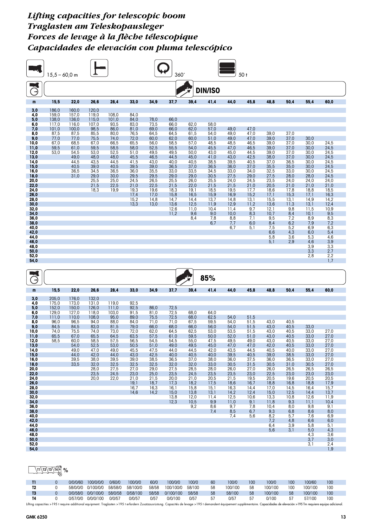|              | $15,5 - 60,0$ m |              |              |              |              |              | 360 <sup>°</sup> |              |                |              | 50 <sub>t</sub> |              |              |              |                   |
|--------------|-----------------|--------------|--------------|--------------|--------------|--------------|------------------|--------------|----------------|--------------|-----------------|--------------|--------------|--------------|-------------------|
| Ë            |                 |              |              |              |              |              |                  |              | <b>DIN/ISO</b> |              |                 |              |              |              |                   |
| m            | 15,5            | 22,0         | 26,6         | 28,4         | 33,0         | 34,9         | 37,7             | 39,4         | 41,4           | 44,0         | 45,8            | 48,8         | 50,4         | 55,4         | 60,0              |
| 3,0          | 186,0           | 160,0        | 120,0        |              |              |              |                  |              |                |              |                 |              |              |              |                   |
| 4,0          | 159,0           | 157,0        | 119,0        | 108,0        | 84,0         |              |                  |              |                |              |                 |              |              |              |                   |
| 5,0          | 138,0           | 136,0        | 115,0        | 101,0        | 84,0         | 78,0         | 66,0             |              |                |              |                 |              |              |              |                   |
| 6,0          | 117,0           | 116,0        | 107,0        | 93,5         | 83,0         | 73,5         | 66,0             | 62,0         | 58,0           |              |                 |              |              |              |                   |
| 7,0          | 101,0           | 100,0        | 98,5         | 86,0         | 81,0         | 69,0         | 66,0             | 62,0         | 57,0           | 49,0         | 47,0            |              |              |              |                   |
| 8,0          | 87,5            | 87,5         | 85,5         | 80,0         | 76,5         | 64,5         | 64,5             | 61,5         | 54,0           | 49,0         | 47,0            | 39,0         | 37,0         |              |                   |
| 9,0          | 77,0            | 77,0         | 75,5         | 74,0         | 72,0         | 60,0         | 62,0             | 60,0         | 51,0           | 49,0         | 47,0            | 39,0         | 37,0         | 30,0         |                   |
| 10,0         | 67,0            | 68,5         | 67,0         | 66,5         | 65,5         | 56,0         | 58,5             | 57,0         | 48,5           | 48,5         | 46,5            | 39,0         | 37,0         | 30,0         | 24,5              |
| 11,0<br>12,0 | 59,5<br>53,0    | 61,0<br>54,5 | 59,5<br>53,0 | 58,5<br>52,5 | 58,0<br>51,0 | 52,5<br>49,5 | 55,5<br>49,5     | 54,0<br>50,0 | 45,5<br>43,0   | 47,0<br>45,0 | 46,5<br>44,5    | 39,0<br>39,0 | 37,0<br>37,0 | 30,0<br>30,0 | 24,5<br>24,5      |
| 13,0         |                 | 49,0         | 48,0         | 48,0         | 45,5         | 46,5         | 44,5             | 45,0         | 41,0           | 43,0         | 42,5            | 38,0         | 37,0         | 30,0         | 24,5              |
| 14,0         |                 | 44,5         | 43,5         | 44,5         | 41,5         | 43,0         | 40,0             | 40,5         | 38,5           | 39,5         | 40,5            | 37,0         | 36,5         | 30,0         | 24,5              |
| 15,0         |                 | 40,5         | 39,0         | 40,5         | 39,5         | 39,0         | 36,5             | 37,0         | 36,5           | 36,0         | 37,0            | 35,5         | 35,0         | 30,0         | 24,5              |
| 16,0         |                 | 36,5         | 34,5         | 36,5         | 36,0         | 35,5         | 33,0             | 33,5         | 34,5           | 33,0         | 34,0            | 32,5         | 33,0         | 30,0         | 24,5              |
| 18,0         |                 | 31,0         | 29,0         | 30,0         | 29,5         | 29,5         | 29,0             | 29,0         | 30,5           | 27,5         | 29,0            | 27,5         | 28,0         | 28,0         | 24,5              |
| 20,0         |                 |              | 25,5         | 25,0         | 24,5         | 26,5         | 25,5             | 26,0         | 25,5           | 24,0         | 24,5            | 23,5         | 24,0         | 24,0         | 24,0              |
| 22,0         |                 |              | 21,5         | 22,5         | 21,0         | 22,5         | 21,5             | 22,0         | 21,5           | 21,5         | 21,0            | 20,5         | 21,0         | 21,0         | 21,0              |
| 24,0         |                 |              | 18,3         | 19,9         | 19,3         | 19,6         | 18,3             | 19,1         | 18,5           | 19,5         | 17,7            | 18,6         | 17,8         | 18,8         | 18,5              |
| 26,0         |                 |              |              |              | 17,4         | 17,0         | 15,8             | 16,5         | 15,9           | 16,9         | 15,2            | 17,1         | 15,3         | 17,1         | 16,3              |
| 28,0         |                 |              |              |              | 15,2         | 14,8         | 14,7             | 14,4         | 13,7           | 14,8         | 13,1            | 15,5         | 13,1         | 14,9         | 14,2              |
| 30,0         |                 |              |              |              | 13,3         | 13,0         | 13,6             | 12,5         | 11,9           | 12,9         | 11,2            | 13,6         | 11,3         | 13,1         | 12,4              |
| 32,0         |                 |              |              |              |              |              | 12,6             | 11,0         | 10,4           | 11,4         | 9,7             | 12,1         | 9,8          | 11,5         | 10,9              |
| 34,0         |                 |              |              |              |              |              | 11,2             | 9,6          | 9,0            | 10,0         | 8,3             | 10,7         | 8,4          | 10,1         | 9,5               |
| 36,0         |                 |              |              |              |              |              |                  | 8,4          | 7,8            | 8,8          | 7,1             | 9,5          | 7,2          | 8,9          | $\frac{8,3}{7,2}$ |
| 38,0<br>40,0 |                 |              |              |              |              |              |                  |              | 6,7            | 7,7<br>6,7   | 6,0<br>5,1      | 8,4          | 6,2<br>5,2   | 7,9<br>6,9   | 6,3               |
| 42,0         |                 |              |              |              |              |              |                  |              |                |              |                 | 7,5<br>6,6   | 4,3          | 6,0          | 5,4               |
| 44,0         |                 |              |              |              |              |              |                  |              |                |              |                 | 5,8          | 3,6          | 5,3          | 4,6               |
| 46,0         |                 |              |              |              |              |              |                  |              |                |              |                 | 5,1          | 2,9          | 4,6          | 3,9               |
| 48,0         |                 |              |              |              |              |              |                  |              |                |              |                 |              |              | 3,9          |                   |
| 50,0         |                 |              |              |              |              |              |                  |              |                |              |                 |              |              | 3,3          | $\frac{3,3}{2,7}$ |
| 52,0         |                 |              |              |              |              |              |                  |              |                |              |                 |              |              | 2,8          | $2,2$<br>1,7      |
| 54,0         |                 |              |              |              |              |              |                  |              |                |              |                 |              |              |              |                   |
|              |                 |              |              |              |              |              |                  |              |                |              |                 |              |              |              |                   |

| $\rightarrow$ |       |       |       |       |              |      |              |              | 85%         |              |             |              |              |              |              |
|---------------|-------|-------|-------|-------|--------------|------|--------------|--------------|-------------|--------------|-------------|--------------|--------------|--------------|--------------|
| m             | 15,5  | 22,0  | 26,6  | 28,4  | 33.0         | 34.9 | 37,7         | 39.4         | 41,4        | 44.0         | 45.8        | 48.8         | 50.4         | 55.4         | 60.0         |
| 3,0           | 205.0 | 176,0 | 132,0 |       |              |      |              |              |             |              |             |              |              |              |              |
| 4,0           | 175,0 | 173,0 | 131,0 | 119,0 | 92,5         |      |              |              |             |              |             |              |              |              |              |
| 5,0           | 152,0 | 150.0 | 126.0 | 111.0 | 92,5         | 86.0 | 72,5         |              |             |              |             |              |              |              |              |
| 6,0           | 129.0 | 127.0 | 118.0 | 103,0 | 91,5         | 81.0 | 72,5         | 68.0         | 64.0        |              |             |              |              |              |              |
| 7,0           | 111,0 | 110.0 | 108,0 | 95,0  | 89,0         | 75.5 | 72,5         | 68,0         | 62,5        | 54.0         | 51,5        |              |              |              |              |
| 8,0           | 96,0  | 96,5  | 94,0  | 88,0  | 84,0         | 71.0 | 71,0         | 67,5         | 59,5        | 54,0         | 51,5        | 43.0         | 40.5         |              |              |
| 9,0           | 84,5  | 84,5  | 83,0  | 81,5  | 79,0         | 66,0 | 68,0         | 66,0         | 56,0        | 54,0         | 51,5        | 43,0         | 40,5         | 33,0         |              |
| 10,0          | 74,0  | 75,5  | 74,0  | 73,0  | 72,0         | 62,0 | 64,5         | 62,5         | 53,0        | 53,5         | 51,5        | 43,0         | 40,5         | 33,0         | 27,0         |
| 11,0          | 65,5  | 67,0  | 65,5  | 64,5  | 63,5         | 57,5 | 61,0         | 59,5         | 50,0        | 52,0         | 51,0        | 43,0         | 40,5         | 33,0         | 27,0         |
| 12,0          | 58,5  | 60,0  | 58,5  | 57,5  | 56,5         | 54,5 | 54,5         | 55,0         | 47,5        | 49,5         | 49,0        | 43,0         | 40,5         | 33,0         | 27,0         |
| 13,0          |       | 54.0  | 52,5  | 53,0  | 50.5         | 51.0 | 49.0         | 49,5         | 45.0        | 47.0         | 47.0        | 42,0         | 40.5         | 33.0         | 27,0         |
| 14,0          |       | 49,0  | 47,0  | 49,0  | 45,5         | 47,5 | 44,0         | 44,5         | 42,0        | 43,5         | 44,5        | 40,5         | 40.0         | 33,0         | 27,0         |
| 15,0          |       | 44,0  | 42,0  | 44,0  | 43,0         | 42,5 | 40,0         | 40,5         | 40,0        | 39,5         | 40,5        | 39,0         | 38,5         | 33,0         | 27,0         |
| 16,0          |       | 39,5  | 38,0  | 39,5  | 39,0         | 38,5 | 36,5         | 37,0         | 38,0        | 36,0         | 37,5        | 36,0         | 36,5         | 33,0         | 27,0         |
| 18,0          |       | 33,5  | 32,0  | 32,5  | 32,5         | 32,5 | 32,0         | 32,0         | 33,0        | 30,5         | 31,5        | 30,5         | 31,0         | 30,5         | 27,0         |
| 20,0          |       |       | 28,0  | 27,5  | 27,0         | 29,0 | 27,5         | 28,5         | 28,0        | 26,0         | 27,0        | 26,0         | 26,5         | 26,5         | 26,5         |
| 22,0          |       |       | 23,5  | 24,5  | 23,0         | 25,0 | 23,5         | 24,5         | 23,5        | 23,5         | 23,0        | 22,5         | 23,0         | 23,0         | 23,0         |
| 24,0          |       |       | 20,0  | 22,0  | 21,0         | 21,5 | 20,0         | 21,0         | 20,5        | 21,5         | 19,5        | 20,5         | 19,6         | 20,5         | 20,5         |
| 26,0          |       |       |       |       | 19,1         | 18.7 | 17,3         | 18.2         | 17,5        | 18,6         | 16.7        | 18,8         | 16.8         | 18,8         | 17,9         |
| 28.0          |       |       |       |       | 16,7<br>14.6 | 16,3 | 16.1         | 15.8         | 15.1        | 16,3         | 14.4        | 17,0         | 14.5         | 16,4         | 15,7         |
| 30,0<br>32,0  |       |       |       |       |              | 14,2 | 15,0         | 13,8         | 13,1        | 14,2<br>12,5 | 12,4        | 15,0<br>13,3 | 12,5<br>10,8 | 14,4         | 13,7<br>11,9 |
| 34,0          |       |       |       |       |              |      | 13,8<br>12,3 | 12,0<br>10,5 | 11,4<br>9,9 | 11,0         | 10,6<br>9,1 | 11,8         | 9,3          | 12,6<br>11,1 | 10,4         |
| 36,0          |       |       |       |       |              |      |              | 9,2          | 8,6         | 9,7          | 7,8         | 10,4         | 8,0          | 9,8          | 9,1          |
| 38,0          |       |       |       |       |              |      |              |              | 7,4         | 8,5          | 6,7         | 9,3          | 6,8          | 8,6          | 8,0          |
| 40,0          |       |       |       |       |              |      |              |              |             | 7,4          | 5,6         | 8,2          | 5,7          | 7,6          | 6,9          |
| 42,0          |       |       |       |       |              |      |              |              |             |              |             | 7,2          | 4,8          | 6,6          | 6,0          |
| 44,0          |       |       |       |       |              |      |              |              |             |              |             | 6,4          | 3,9          | 5,8          | 5,1          |
| 46,0          |       |       |       |       |              |      |              |              |             |              |             | 5,6          | 3,1          | 5,0          | 4,3          |
| 48,0          |       |       |       |       |              |      |              |              |             |              |             |              |              | 4,3          | 3,6          |
| 50,0          |       |       |       |       |              |      |              |              |             |              |             |              |              | 3,7          | 3,0          |
| 52,0          |       |       |       |       |              |      |              |              |             |              |             |              |              | 3,1          | 2,4          |
| 54,0          |       |       |       |       |              |      |              |              |             |              |             |              |              |              | 1,9          |
|               |       |       |       |       |              |      |              |              |             |              |             |              |              |              |              |

## $\sqrt{11\frac{72}{213\frac{140}{13}}}\%$

|           | 0/0/0/60 | 100/0/0/0                           | 0/60/0  | 100/0/0  | 60/0 | 100/0/0                | 100/0 | 60 | 100/0   | 100 | 100/0   | 100 | 100/60  | 100 |  |
|-----------|----------|-------------------------------------|---------|----------|------|------------------------|-------|----|---------|-----|---------|-----|---------|-----|--|
|           |          | 58/0/0/0 0/100/0/0 58/58/0 58/100/0 |         |          |      | 58/58 100/100/0 58/100 |       | 58 | 100/100 | -58 | 100/100 | 100 | 100/100 | 100 |  |
| <b>T3</b> |          | 0/0/58/0 0/0/100/0                  | 58/0/58 | 0/58/100 |      | 58/58 0/100/100        | 58/58 | 58 | 58/100  | 58  | 100/100 | 58  | 100/100 | 100 |  |
| T4        |          | 0/57/0/0 0/0/0/100                  | 0/0/57  | 0/0/57   | 0/57 | 0/0/100                | 0/57  | 57 | 0/57    | 57  | 0/100   | 57  | 57/100  | 100 |  |
|           |          |                                     |         |          |      |                        |       |    |         |     |         |     |         |     |  |

Lifting capacities >195 t require additional equipment. Traglasten >195 t erfordern Zusatzausrüstung. Capacités de levage >195 t demandent équipement supplémentaire. Capacidades de elevación >195 Tm requiere equipo adicion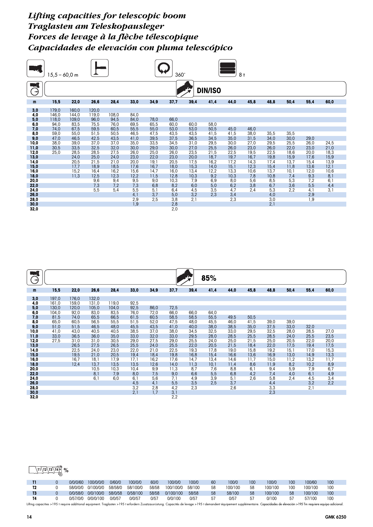|               | $5.5 - 60.0$ m |       |             |             | 360°<br>8 <sub>†</sub> |             |              |             |                |             |            |             |            |            |            |
|---------------|----------------|-------|-------------|-------------|------------------------|-------------|--------------|-------------|----------------|-------------|------------|-------------|------------|------------|------------|
| $\rightarrow$ |                |       |             |             |                        |             |              |             | <b>DIN/ISO</b> |             |            |             |            |            |            |
| m             | 15,5           | 22,0  | 26,6        | 28,4        | 33,0                   | 34,9        | 37,7         | 39,4        | 41,4           | 44,0        | 45,8       | 48,8        | 50,4       | 55,4       | 60,0       |
| 3,0           | 179,0          | 160,0 | 120,0       |             |                        |             |              |             |                |             |            |             |            |            |            |
| 4,0           | 146,0          | 144,0 | 119,0       | 108,0       | 84,0                   |             |              |             |                |             |            |             |            |            |            |
| 5,0           | 118,0          | 109,0 | 96,0        | 94,5        | 84,0                   | 78,0        | 66,0         |             |                |             |            |             |            |            |            |
| 6,0           | 94,0           | 83,5  | 75,5        | 76,0        | 69,5                   | 65,5        | 60,0         | 60,0        | 58,0           |             |            |             |            |            |            |
| 7,0           | 74,0           | 67,5  | 59,5        | 60,5        | 55,5                   | 55,0        | 53,0         | 53,0        | 50,5           | 45,0        | 46,0       |             |            |            |            |
| 8,0           | 59,0           | 55,0  | 51,5        | 50,5        | 46,5                   | 47,5        | 43,5         | 43,5        | 41,5           | 41,5        | 38,0       | 35,5        | 35,5       |            |            |
| 9,0           | 47,0           | 46,5  | 42,5        | 43,5        | 41,0                   | 39,5        | 37,5         | 36,5        | 34,5           | 35,0        | 31,5       | 34,0        | 30,0       | 29,0       |            |
| 10,0          | 38,0           | 39,0  | 37,0        | 37,0        | 35,0                   | 33,5        | 34,5         | 31,0        | 29,5           | 30,0        | 27,0       | 29,5        | 25,5       | 26,0       | 24,5       |
| 11,0          | 30,5           | 33,5  | 32,5        | 32,0        | 30,0                   | 29,0        | 30,0         | 27,0        | 25,5           | 26,0        | 23,0       | 26,0        | 22,0       | 23,0       | 21,0       |
| 12,0          | 25,0           | 28,5  | 28,5        | 27,5        | 26,0                   | 25,0        | 26,0         | 23,5        | 21,5           | 22,5        | 19,5       | 22,5        | 18,6       | 20,0       | 18,3       |
| 13,0          |                | 24,0  | 25,0        | 24,0        | 23,0                   | 22,0        | 23,0         | 20,0        | 18,7           | 19,7        | 16,7       | 19,8        | 15,9       | 17,6       | 15,9       |
| 14,0          |                | 20,5  | 21,5        | 21,0        | 20,0                   | 19,1        | 20,5         | 17,5        | 16,2           | 17,2        | 14,3       | 17,4        | 13,7       | 15,4       | 13,9       |
| 15,0          |                | 17,7  | 18,9        | 18,5        | 17,6                   | 16,7        | 18,0         | 15,3        | 14,0           | 15,1        | 12,3       | 15,4        | 11,8       | 13,6       | 12,1       |
| 16,0          |                | 15,2  | 16,4        | 16,2        | 15,6                   | 14,7        | 16,0         | 13,4        | 12,2           | 13,3        | 10,6       | 13,7        | 10,1       | 12,0       | 10,6       |
| 18,0<br>20,0  |                | 11,3  | 12,5<br>9,6 | 12,3<br>9,4 | 12,2<br>9,5            | 11,5<br>9,0 | 12,8<br>10,3 | 10,3<br>7,9 | 9,2<br>6,9     | 10,3<br>8,0 | 7,8<br>5,6 | 10,8<br>8,5 | 7,4<br>5,3 | 9,3<br>7,2 | 8,1<br>6,1 |
| 22,0          |                |       | 7,3         | 7,2         | 7,3                    | 6,8         | 8,2          | 6,0         | 5,0            | 6,2         | 3,8        | 6,7         | 3,6        | 5,5        | 4,4        |
| 24,0          |                |       | 5,5         | 5,4         | 5,5                    | 5,1         | 6,4          | 4,5         | 3,5            | 4,7         | 2,4        | 5,3         | 2,2        | 4,1        | 3,1        |
| 26,0          |                |       |             |             | 4,1                    | 3,7         | 5,0          | 3,2         | 2,3            | 3,4         |            | 4,0         |            | 2,9        |            |
| 28,0          |                |       |             |             | 2,9                    | 2,5         | 3,8          | 2,1         |                | 2,3         |            | 3,0         |            | 1,9        |            |
| 30,0          |                |       |             |             | 1,9                    |             | 2,8          |             |                |             |            | 2,1         |            |            |            |
| 32,0          |                |       |             |             |                        |             | 2,0          |             |                |             |            |             |            |            |            |

| $\rightarrow$ |       |       |       |       |      |      |               |      | 85%  |      |      |      |      |      |      |
|---------------|-------|-------|-------|-------|------|------|---------------|------|------|------|------|------|------|------|------|
| $\mathsf{m}$  | 15,5  | 22,0  | 26,6  | 28,4  | 33,0 | 34,9 | 37,7          | 39,4 | 41,4 | 44,0 | 45,8 | 48,8 | 50,4 | 55,4 | 60,0 |
| 3,0           | 197,0 | 176,0 | 132,0 |       |      |      |               |      |      |      |      |      |      |      |      |
| 4,0           | 161,0 | 159,0 | 131,0 | 119,0 | 92,5 |      |               |      |      |      |      |      |      |      |      |
| 5,0           | 130,0 | 120,0 | 105,0 | 104,0 | 92,5 | 86,0 | 72,5          |      |      |      |      |      |      |      |      |
| 6,0           | 104,0 | 92,0  | 83,0  | 83,5  | 76,0 | 72,0 | 66,0          | 66,0 | 64,0 |      |      |      |      |      |      |
| 7,0           | 81,5  | 74,0  | 65,5  | 66,5  | 61,5 | 60,5 | 58,5          | 58,5 | 55,5 | 49,5 | 50,5 |      |      |      |      |
| 8,0           | 65,0  | 60,5  | 56,5  | 55,5  | 51,5 | 52,0 | 47,5          | 48,0 | 45,5 | 46,0 | 41,5 | 39,0 | 39,0 |      |      |
| 9,0           | 51,0  | 51,5  | 46,5  | 48,0  | 45,5 | 43,5 | 41,0          | 40,0 | 38,0 | 38,5 | 35,0 | 37,5 | 33,0 | 32,0 |      |
| 10,0          | 41,0  | 43,0  | 40,5  | 40,5  | 38,5 | 37,0 | 38,0          | 34,5 | 32,5 | 33,0 | 29,5 | 32,5 | 28,0 | 28,5 | 27,0 |
| 11,0          | 33,0  | 36,5  | 36,0  | 35,0  | 33,0 | 32,0 | 33,0          | 29,5 | 28,0 | 28,5 | 25,5 | 28,5 | 24,0 | 25,5 | 23,5 |
| 12,0          | 27,5  | 31,0  | 31,0  | 30,5  | 29,0 | 27,5 | 29,0          | 25,5 | 24,0 | 25,0 | 21,5 | 25,0 | 20,5 | 22,0 | 20,0 |
| 13,0          |       | 26,5  | 27,5  | 26,5  | 25,5 | 24,0 | 25,5          | 22,0 | 20,5 | 21,5 | 18,4 | 22,0 | 17,5 | 19,4 | 17,5 |
| 14,0          |       | 22,5  | 24,0  | 23,0  | 22,0 | 21,0 | 22,5          | 19,3 | 17,8 | 19,0 | 15,8 | 19,2 | 15,1 | 17,0 | 15,3 |
| 15,0          |       | 19,5  | 21,0  | 20,5  | 19,4 | 18,4 | 19,8          | 16,8 | 15,4 | 16,6 | 13,6 | 16,9 | 13,0 | 14,9 | 13,3 |
| 16,0          |       | 16,7  | 18,1  | 17,9  | 17,1 | 16,2 | 17,6          | 14,7 | 13,4 | 14,6 | 11,7 | 15,0 | 11,2 | 13,2 | 11,7 |
| 18,0          |       | 12,4  | 13,7  | 13,5  | 13,5 | 12,6 | 14,0          | 11,3 | 10,1 | 11,4 | 8,6  | 11,9 | 8,2  | 10,2 | 8,9  |
| 20,0          |       |       | 10,5  | 10,3  | 10,4 | 9,9  | 11,3          | 8,7  | 7,6  | 8,8  | 6,1  | 9,4  | 5,9  | 7,9  | 6.7  |
| 22,0          |       |       | 8,1   | 7,9   | 8,0  | 7,5  | 9,0           | 6,6  | 5,5  | 6,8  | 4,2  | 7,4  | 4,0  | 6,1  | 4,9  |
| 24,0          |       |       | 6,1   | 6,0   | 6,1  | 5,6  | 7,1           | 4,9  | 3,9  | 5,1  | 2,6  | 5,8  | 2,4  | 4,5  | 3,4  |
| 26,0          |       |       |       |       | 4,5  | 4,1  | 5,5           | 3,5  | 2,5  | 3,7  |      | 4,4  |      | 3,2  | 2,2  |
| 28,0          |       |       |       |       | 3,2  | 2,8  | 4,2           | 2,3  |      | 2,6  |      | 3,3  |      | 2,1  |      |
| 30,0          |       |       |       |       | 2,1  | 1,7  | $\frac{3}{2}$ |      |      |      |      | 2,3  |      |      |      |
| 32,0          |       |       |       |       |      |      |               |      |      |      |      |      |      |      |      |

## $\sqrt{11\frac{12}{13}\frac{14}{9}}$  %

|  | 0/0/0/60 | 100/0/0/0 | 0/60/0  | 100/0/0  | 60/0  | 100/0/0   | 100/0  | 60 | 100/0   | 100 | 100/0   | 100 | 100/60  | 100 |
|--|----------|-----------|---------|----------|-------|-----------|--------|----|---------|-----|---------|-----|---------|-----|
|  | 58/0/0/0 | 0/100/0/0 | 58/58/0 | 58/100/0 | 58/58 | 100/100/0 | 58/100 | 58 | 100/100 | 58  | 100/100 | 100 | 100/100 | 100 |
|  | 0/0/58/0 | 0/0/100/0 | 58/0/58 | 0/58/100 | 58/58 | 0/100/100 | 58/58  | 58 | 58/100  | 58  | 100/100 | 58  | 100/100 | 100 |
|  | 0/57/0/0 | 0/0/0/100 | 0/0/57  | 0/0/57   | 0/5   | 0/0/100   | 0/57   | 57 | 0/57    | 57  | 0/100   | -57 | 57/100  | 100 |

Lifting capacities >195 t require additional equipment. Traglasten >195 t erfordern Zusatzausrüstung. Capacités de levage >195 t demandent équipement supplémentaire. Capacidades de elevación >195 Im requiere equipo adicion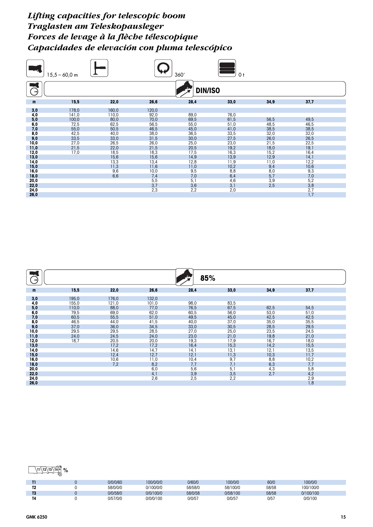|               | $15,5 - 60,0$ m |            |                   | 360°           | 0 <sub>t</sub> |            |            |  |
|---------------|-----------------|------------|-------------------|----------------|----------------|------------|------------|--|
| $\rightarrow$ |                 |            |                   | <b>DIN/ISO</b> |                |            |            |  |
| m             | 15,5            | 22,0       | 26,6              | 28,4           | 33,0           | 34,9       | 37,7       |  |
| 3,0           | 178,0           | 160,0      | 120,0             |                |                |            |            |  |
| 4,0           | 141,0           | 110,0      | 92,0              | 89,0           | 76,0           |            |            |  |
| 5,0           | 100,0           | 80,0       | 70,0              | 69,5           | 61,5           | 56,5       | 49,5       |  |
| 6,0           | 72,5            | 62,5       | 56,5              | 55,0           | 51,0           | 48,5       | 46,5       |  |
| 7,0           | 55,0            | 50,5       | 46,5              | 45,0           | 41,0           | 38,5       | 38,5       |  |
| 8,0           | 42,5            | 40,0       | 38,0              | 36,5           | 33,5           | 32,0       | 32,0       |  |
| 9,0           | 33,5            | 33,0       | 31,5              | 30,0           | 27,5           | 26,0       | 26,5       |  |
| 10,0          | 27,0            | 26,5       | 26,0              | 25,0           | 23,0           | 21,5       | 22,5       |  |
| 11,0          | 21,5            | 22,0       | 21,5              | 20,5           | 19,2           | 18,0       | 19,1       |  |
| 12,0          | 17,0            | 18,5       | 18,3              | 17,5           | 16,3           | 15,2       | 16,4       |  |
| 13,0          |                 | 15,6       | 15,6              | 14,9           | 13,9           | 12,9       | 14,1       |  |
| 14,0          |                 | 13,3       | 13,4              | 12,8           | 11,9           | 11,0       | 12,2       |  |
| 15,0<br>16,0  |                 | 11,3       | 11,6              | 11,0<br>9,5    | 10,2<br>8,8    | 9,4<br>8,0 | 10,6       |  |
| 18,0          |                 | 9,6<br>6,6 | 10,0<br>7,4       | 7,0            |                | 5,7        | 9,3<br>7,0 |  |
| 20,0          |                 |            | 5,5               | 5,1            | 6,4<br>4,6     | 3,9        | 5,2        |  |
| 22,0          |                 |            |                   | 3,6            | 3,1            | 2,5        | 3,8        |  |
| 24,0          |                 |            | $\frac{3,7}{2,3}$ | 2,2            | 2,0            |            | 2,7        |  |
| 26,0          |                 |            |                   |                |                |            | 1,7        |  |

| ⇥            |                |               |               | 85%          |                          |              |              |  |
|--------------|----------------|---------------|---------------|--------------|--------------------------|--------------|--------------|--|
| m            | 15,5           | 22,0          | 26,6          | 28,4         | 33,0                     | 34,9         | 37,7         |  |
| 3,0          | 195,0          | 176,0         | 132,0         |              |                          |              |              |  |
| 4,0<br>5,0   | 155,0<br>110,0 | 121,0<br>88,0 | 101,0<br>77,0 | 98,0<br>76,5 | 83,5<br>67,5             | 62,5         | 54,5         |  |
| 6,0<br>7,0   | 79,5<br>60,5   | 69,0<br>55,5  | 62,0<br>51,0  | 60,5<br>49,5 | 56,0<br>45,0             | 53,0<br>42,5 | 51,0<br>42,5 |  |
| 8,0<br>9,0   | 46,5<br>37,0   | 44,0<br>36,0  | 41,5<br>34,5  | 40,0<br>33,0 | 37,0<br>30,5             | 35,0<br>28,5 | 35,5<br>29,5 |  |
| 10,0<br>11,0 | 29,5<br>24,0   | 29,5<br>24,5  | 28,5<br>24,0  | 27,0<br>23,0 | 25,0<br>21,0             | 23,5<br>19,8 | 24,5<br>21,0 |  |
| 12,0<br>13,0 | 18,7           | 20,5<br>17,2  | 20,0<br>17,2  | 19,3<br>16,4 | 17,9<br>15,3             | 16,7<br>14,2 | 18,0<br>15,5 |  |
| 14,0<br>15,0 |                | 14,6<br>12,4  | 14,7<br>12,7  | 14,1<br>12,1 | 13,1<br>11,3             | 12,1<br>10,3 | 13,5<br>11,7 |  |
| 16,0<br>18,0 |                | 10,6<br>7,2   | 11,0<br>8,2   | 10,4<br>7,7  | 9,7<br>7,1               | 8,8<br>6,3   | 10,2<br>7,7  |  |
| 20,0<br>22,0 |                |               | 6,0<br>4,1    | 5,6<br>3,9   | 5,1<br>$\frac{3,5}{2,2}$ | 4,3<br>2,7   | 5,8<br>4,2   |  |
| 24,0<br>26,0 |                |               | 2,6           | 2,5          |                          |              | 2,9<br>1,8   |  |

| . . | 0/0/0/60 | 100/0/0/0 | 0/60/0  | 100/0/0  | 60/0  | 100/0/0   |  |
|-----|----------|-----------|---------|----------|-------|-----------|--|
|     | 58/0/0/0 | 0/100/0/0 | 58/58/0 | 58/100/0 | 58/58 | 100/100/0 |  |
| œ   | 0/0/58/0 | 0/0/100/0 | 58/0/58 | 0/58/100 | 58/58 | 0/100/100 |  |
|     | 0/57/0/0 | 0/0/0/100 | 0/0/57  | 0/0/57   | 0/5   | 0/0/100   |  |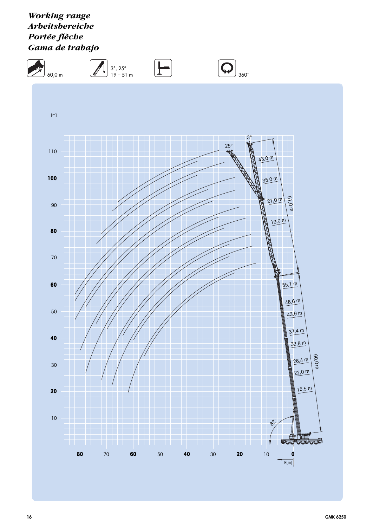*Working range Arbeitsbereiche Portée flèche Gama de trabajo*

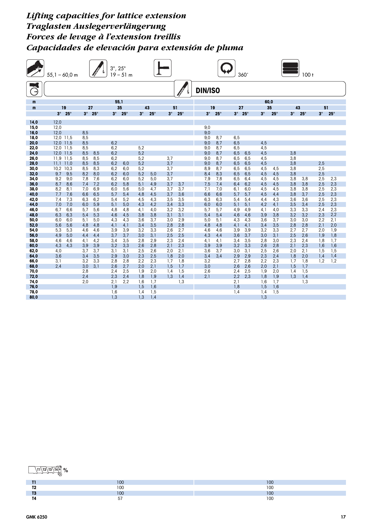## *Lifting capacities for lattice extension Traglasten Auslegerverlängerung Forces de levage à l'extension treillis Capacidades de elevación para extensión de pluma*

| <b>All Street</b> | $3^{\circ}$ , $25^{\circ}$<br>$55,1 - 60,0$ m<br>$19 - 51$ m |                       |            |                       |            |            | 360 <sup>°</sup><br>100t |            |            |            |                |            |            |                       |            |            |            |            |            |            |
|-------------------|--------------------------------------------------------------|-----------------------|------------|-----------------------|------------|------------|--------------------------|------------|------------|------------|----------------|------------|------------|-----------------------|------------|------------|------------|------------|------------|------------|
| €                 |                                                              |                       |            |                       |            |            |                          |            |            |            | <b>DIN/ISO</b> |            |            |                       |            |            |            |            |            |            |
| m                 |                                                              |                       |            |                       | 55,1       |            |                          |            |            |            |                |            |            |                       | 60,0       |            |            |            |            |            |
| m                 |                                                              | 19                    |            | 27                    |            | 35         | 43                       |            | 51         |            |                | 19         | 27         |                       |            | 35         | 43         |            | 51         |            |
|                   |                                                              | $3^\circ$ 25 $^\circ$ |            | $3^\circ$ 25 $^\circ$ | $3^\circ$  | $25^\circ$ | $3^\circ$                | $25^\circ$ | $3^\circ$  | $25^\circ$ | $3^\circ$      | $25^\circ$ |            | $3^\circ$ 25 $^\circ$ | $3^\circ$  | $25^\circ$ | $3^\circ$  | $25^\circ$ | $3^\circ$  | $25^\circ$ |
| 14,0              | 12,0                                                         |                       |            |                       |            |            |                          |            |            |            |                |            |            |                       |            |            |            |            |            |            |
| 15,0              | 12,0                                                         |                       |            |                       |            |            |                          |            |            |            | 9.0            |            |            |                       |            |            |            |            |            |            |
| 16,0              | 12,0                                                         |                       | 8,5        |                       |            |            |                          |            |            |            | 9,0            |            |            |                       |            |            |            |            |            |            |
| 18,0<br>20,0      | 12,0 11,5<br>12,0 11,5                                       |                       | 8,5<br>8,5 |                       | 6,2        |            |                          |            |            |            | 9,0<br>9,0     | 8,7<br>8,7 | 6,5<br>6,5 |                       | 4,5        |            |            |            |            |            |
| 22,0              | 12,0 11,5                                                    |                       | 8,5        |                       | 6,2        |            | 5,2                      |            |            |            | 9,0            | 8,7        | 6, 5       |                       | 4,5        |            |            |            |            |            |
| 24,0              | 12,0 11,5                                                    |                       | 8,5        | 8,5                   | 6,2        |            | 5,2                      |            |            |            | 9,0            | 8.7        | 6,5        | 6,5                   | 4,5        |            | 3,8        |            |            |            |
| 26,0              | 11,9 11,5                                                    |                       | 8,5        | 8,5                   | 6,2        |            | 5,2                      |            | 3,7        |            | 9,0            | 8,7        | 6,5        | 6,5                   | 4,5        |            | 3,8        |            |            |            |
| 28,0<br>30,0      | 11.1<br>10,2 10,3                                            | 11,0                  | 8,5<br>8.5 | 8,5<br>8,3            | 6,2<br>6,2 | 6,0<br>6,0 | 5,2<br>5,2               |            | 3,7<br>3.7 |            | 9,0<br>8,9     | 8,7<br>8,7 | 6,5<br>6.5 | 6,5<br>6.5            | 4,5<br>4,5 | 4,5        | 3,8<br>3,8 |            | 2,5<br>2.5 |            |
| 32,0              | 9,7                                                          | 9,5                   | 8,2        | 8,0                   | 6,2        | 6,0        | 5,2                      | 5,0        | 3,7        |            | 8,4            | 8,3        | 6,5        | 6,5                   | 4,5        | 4,5        | 3,8        |            | 2,5        |            |
| 34,0              | 9,2                                                          | 9,0                   | 7,8        | 7,6                   | 6,2        | 6,0        | 5,2                      | 5,0        | 3,7        |            | 7,9            | 7,8        | 6.5        | 6,4                   | 4,5        | 4,5        | 3,8        | 3,8        | 2,5        | 2,3        |
| 36,0              | 8.7                                                          | 8,6                   | 7,4        | 7,2                   | 6.2        | 5,8        | 5,1                      | 4,9        | 3,7        | 3,7        | 7,5            | 7,4        | 6.4        | 6,2                   | 4,5        | 4,5        | 3,8        | 3,8        | 2,5        | 2,3        |
| 38,0              | 8,2                                                          | 8,1                   | 7.0        | 6,9                   | 6.0        | 5,6        | 5,0                      | 4,7        | 3.7        | 3,7        | 7,1            | 7,0        | 6.1        | 6,0                   | 4,5        | 4,5        | 3,8        | 3,8        | 2,5        | 2,3        |
| 40,0<br>42,0      | 7,7<br>7.4                                                   | 7,6<br>7,3            | 6,6<br>6.3 | 6,5<br>6,2            | 5,7<br>5.4 | 5,4<br>5,2 | 4,8<br>4,5               | 4,5<br>4,3 | 3,7<br>3,5 | 3,6<br>3,5 | 6,6<br>6,3     | 6,6<br>6,3 | 5,7<br>5.4 | 5,7<br>5.4            | 4,5<br>4.4 | 4,4<br>4,3 | 3,8<br>3.6 | 3,7<br>3.6 | 2,5<br>2.5 | 2,3<br>2,3 |
| 44,0              | 7,0                                                          | 7,0                   | 6,0        | 5,9                   | 5,1        | 5,0        | 4,3                      | 4,2        | 3,4        | 3,3        | 6,0            | 6,0        | 5,1        | 5,1                   | 4,2        | 4,1        | 3,5        | 3,4        | 2,5        | 2,3        |
| 46,0              | 6,7                                                          | 6,6                   | 5,7        | 5,6                   | 4,8        | 4,8        | 4,1                      | 4,0        | 3,2        | 3,2        | 5,7            | 5,7        | 4,9        | 4,9                   | 4,1        | 4,0        | 3,3        | 3,3        | 2,4        | 2,3        |
| 48,0              | 6.3                                                          | 6,3                   | 5,4        | 5,3                   | 4,6        | 4,5        | 3,8                      | 3,8        | 3,1        | 3,1        | 5,4            | 5.4        | 4,6        | 4,6                   | 3,9        | 3,8        | 3,2        | 3.2        | 2,3        | 2,2        |
| 50,0              | 6,0                                                          | 6,0                   | 5,1        | 5,0                   | 4,3        | 4,3        | 3,6                      | 3,7        | 3,0        | 2,9        | 5,0            | 5,1        | 4,3        | 4,3                   | 3,6        | 3,7        | 3,0        | 3,0        | 2,2        | 2,1        |
| 52,0<br>54,0      | 5,6<br>5,3                                                   | 5,6<br>5,3            | 4,8<br>4,6 | 4,8<br>4,6            | 4,1<br>3,9 | 4,1<br>3,9 | 3,4<br>3,2               | 3,5<br>3,3 | 2,8<br>2,6 | 2,8<br>2,7 | 4,8<br>4,6     | 4,8<br>4,6 | 4,1<br>3,9 | 4,1<br>3,9            | 3,4<br>3,2 | 3,5<br>3,3 | 2,8<br>2,7 | 2,8<br>2,7 | 2,1<br>2,0 | 2,0<br>1,9 |
| 56,0              | 4,9                                                          | 5,0                   | 4,4        | 4,4                   | 3,7        | 3,7        | 3,0                      | 3,1        | 2,5        | 2,5        | 4,3            | 4,4        | 3,6        | 3,7                   | 3,0        | 3,1        | 2,5        | 2,6        | 1,9        | 1,8        |
| 58,0              | 4,6                                                          | 4,6                   | 4,1        | 4,2                   | 3,4        | 3,5        | 2,8                      | 2,9        | 2,3        | 2,4        | 4,1            | 4,1        | 3,4        | 3,5                   | 2,8        | 3,0        | 2,3        | 2,4        | 1,8        | 1,7        |
| 60,0              | 4,3                                                          | 4.3                   | 3,9        | 3,9                   | 3,2        | 3,3        | 2,6                      | 2,8        | 2,1        | 2,3        | 3,9            | 3,9        | 3,2        | 3,3                   | 2,6        | 2,8        | 2,1        | 2,3        | 1,6        | 1,6        |
| 62,0              | 4,0<br>3,6                                                   |                       | 3.7        | 3,7<br>3,5            | 3.1<br>2,9 | 3,1<br>3,0 | 2,5<br>2,3               | 2,6        | 2.0<br>1,8 | 2,1        | 3,6            | 3,7        | 3.0<br>2,9 | 3,1<br>2,9            | 2,5<br>2,3 | 2,6<br>2,4 | 2,0<br>1,8 | 2,1        | 1.5        | 1,5        |
| 64,0<br>66,0      | 3,1                                                          |                       | 3,4<br>3.2 | 3,3                   | 2,8        | 2.8        | 2.2                      | 2,5<br>2,3 | 1.7        | 2,0<br>1,8 | 3,4<br>3,2     | 3,4        | 2.7        | 2.8                   | 2.2        | 2,3        | 1.7        | 2,0<br>1.8 | 1,4<br>1.2 | 1,4<br>1,2 |
| 68,0              | 2,4                                                          |                       | 3,0        | 3,1                   | 2,6        | 2,7        | 2,0                      | 2,1        | 1,5        | 1,7        | 3,0            |            | 2,6        | 2,6                   | 2,0        | 2,1        | 1,5        | 1,7        |            |            |
| 70,0              |                                                              |                       | 2,8        |                       | 2,4        | 2,5        | 1,9                      | 2,0        | 1,4        | 1,5        | 2,6            |            | 2,4        | 2,5                   | 1,9        | 2,0        | 1,4        | 1,5        |            |            |
| 72,0              |                                                              |                       | 2,4        |                       | 2,3        | 2,4        | 1.8                      | 1,9        | 1.3        | 1,4        | 2,1            |            | 2,2        | 2.3                   | 1,8        | 1,9        | 1,3        | 1,4        |            |            |
| 74,0<br>76,0      |                                                              |                       | 2,0        |                       | 2,1<br>1,9 | 2,2        | 1,6                      | 1,7        |            | 1,3        |                |            | 2,1<br>1,8 |                       | 1,6        | 1,7        |            | 1,3        |            |            |
| 78,0              |                                                              |                       |            |                       | 1,6        |            | 1,5<br>1,4               | 1,6<br>1,5 |            |            |                |            | 1,4        |                       | 1,5<br>1,4 | 1,6<br>1,5 |            |            |            |            |
| 80,0              |                                                              |                       |            |                       | 1,3        |            | 1.3                      | 1,4        |            |            |                |            |            |                       | 1.3        |            |            |            |            |            |

|             | $\sim$<br>יט  | $\overline{100}$<br>l vu |
|-------------|---------------|--------------------------|
| TO.         | 100<br>$\sim$ | 300<br>vu                |
| $-1$<br>. . | $\sim$<br>טע  | $\overline{100}$<br>טע   |
|             | $ -$          | $\overline{100}$<br>v    |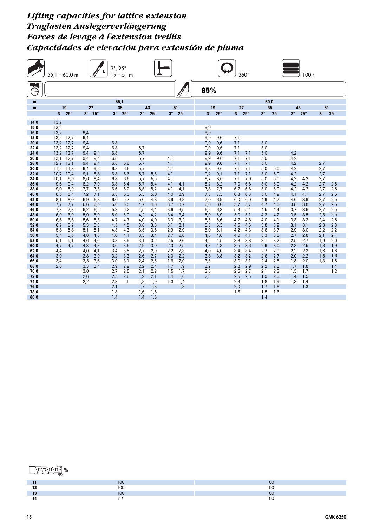## *Lifting capacities for lattice extension Traglasten Auslegerverlängerung Forces de levage à l'extension treillis Capacidades de elevación para extensión de pluma*

|              | $55,1 - 60,0$ m |                       |            |               | $3^\circ$ , | $25^{\circ}$<br>$19 - 51$ m |            |            |            |            |            |            | 360                   |            |            |            |            | 100 <sub>t</sub> |            |            |
|--------------|-----------------|-----------------------|------------|---------------|-------------|-----------------------------|------------|------------|------------|------------|------------|------------|-----------------------|------------|------------|------------|------------|------------------|------------|------------|
| €            |                 |                       |            |               |             |                             |            |            |            |            | 85%        |            |                       |            |            |            |            |                  |            |            |
| m            |                 |                       |            |               | 55,1        |                             |            |            |            |            |            |            |                       |            | 60,0       |            |            |                  |            |            |
| m            |                 | 19                    |            | 27            |             | 35                          |            | 43         |            | 51         |            | 19         | 27                    |            | 35         |            | 43         |                  | 51         |            |
|              |                 | $3^\circ$ 25 $^\circ$ |            | $3^\circ$ 25° |             | $3^\circ$ 25 $^\circ$       | $3^\circ$  | $25^\circ$ | $3^\circ$  | $25^\circ$ | $3^\circ$  | $25^\circ$ | $3^\circ$ 25 $^\circ$ |            | $3^\circ$  | $25^\circ$ | $3^\circ$  | $25^\circ$       | $3^\circ$  | $25^\circ$ |
| 14,0         | 13,2            |                       |            |               |             |                             |            |            |            |            |            |            |                       |            |            |            |            |                  |            |            |
| 15,0         | 13,2            |                       |            |               |             |                             |            |            |            |            | 9,9        |            |                       |            |            |            |            |                  |            |            |
| 16,0<br>18,0 | 13,2<br>13,2    | 12,7                  | 9,4        |               |             |                             |            |            |            |            | 9,9        |            | 7,1                   |            |            |            |            |                  |            |            |
| 20,0         | 13.2            | 12,7                  | 9,4<br>9,4 |               | 6.8         |                             |            |            |            |            | 9,9<br>9,9 | 9,6<br>9.6 | 7,1                   |            | 5,0        |            |            |                  |            |            |
| 22,0         | 13,2            | 12,7                  | 9,4        |               | 6,8         |                             | 5,7        |            |            |            | 9,9        | 9,6        | 7,1                   |            | 5,0        |            |            |                  |            |            |
| 24,0         | 13,2            | 12,7                  | 9,4        | 9,4           | 6,8         |                             | 5,7        |            |            |            | 9,9        | 9,6        | 7,1                   | 7,1        | 5,0        |            | 4,2        |                  |            |            |
| 26,0         | 13.1            | 12,7                  | 9.4        | 9.4           | 6.8         |                             | 5,7        |            | 4,1        |            | 9,9        | 9.6        | 7.1                   | 7.1        | 5.0        |            | 4,2        |                  |            |            |
| 28,0<br>30,0 | 12,2<br>11,2    | 12,1<br>11,3          | 9,4<br>9.4 | 9,4<br>9,2    | 6,8<br>6,8  | 6,6<br>6,6                  | 5,7<br>5,7 |            | 4,1<br>4,1 |            | 9,9<br>9,8 | 9,6<br>9.6 | 7,1<br>7.1            | 7,1<br>7,1 | 5,0<br>5,0 | 5.0        | 4,2<br>4,2 |                  | 2,7<br>2,7 |            |
| 32,0         | 10,7            | 10,4                  | 9,1        | 8,8           | 6,8         | 6,6                         | 5,7        | 5,5        | 4,1        |            | 9,2        | 9,1        | 7,1                   | 7,1        | 5,0        | 5,0        | 4,2        |                  | 2,7        |            |
| 34,0         | 10.1            | 9,9                   | 8,6        | 8,4           | 6.8         | 6,6                         | 5,7        | 5,5        | 4,1        |            | 8,7        | 8,6        | 7.1                   | 7,0        | 5,0        | 5,0        | 4,2        | 4,2              | 2,7        |            |
| 36,0         | 9,6             | 9,4                   | 8,2        | 7,9           | 6,8         | 6,4                         | 5,7        | 5,4        | 4,1        | 4,1        | 8,2        | 8,2        | 7,0                   | 6,8        | 5,0        | 5,0        | 4,2        | 4,2              | 2,7        | 2,5        |
| 38,0         | 9.0             | 8.9                   | 7.7        | 7,5           | 6,6         | 6.2                         | 5,5        | 5,2        | 4,1        | 4,1        | 7,8        | 7,7        | 6.7                   | 6,6        | 5.0        | 5,0        | 4,2        | 4,2              | 2,7        | 2,5        |
| 40,0<br>42,0 | 8,5<br>8,1      | 8,4<br>8,0            | 7,2<br>6,9 | 7,1<br>6,8    | 6,3<br>6,0  | 6,0<br>5,7                  | 5,3<br>5,0 | 5,0<br>4,8 | 4,0<br>3,9 | 3,9<br>3,8 | 7,3<br>7,0 | 7,3<br>6,9 | 6,3<br>6,0            | 6,3<br>6,0 | 5,0<br>4,9 | 4,9<br>4,7 | 4,1<br>4,0 | 4,1<br>3,9       | 2,7<br>2,7 | 2,5<br>2,5 |
| 44,0         | 7.7             | 7,7                   | 6.6        | 6,5           | 5,6         | 5,5                         | 4,7        | 4,6        | 3,7        | 3,7        | 6,6        | 6,6        | 5,7                   | 5.7        | 4,7        | 4,5        | 3,8        | 3,8              | 2,7        | 2,5        |
| 46,0         | 7,3             | 7,3                   | 6,2        | 6,2           | 5,3         | 5,2                         | 4,5        | 4,4        | 3,6        | 3,5        | 6,2        | 6.3        | 5,3                   | 5,4        | 4,5        | 4.4        | 3,7        | 3.6              | 2,7        | 2,5        |
| 48,0         | 6.9             | 6,9                   | 5,9        | 5,9           | 5,0         | 5,0                         | 4,2        | 4,2        | 3,4        | 3,4        | 5,9        | 5,9        | 5,0                   | 5,1        | 4,3        | 4,2        | 3,5        | 3,5              | 2,5        | 2,5        |
| 50,0<br>52,0 | 6,6<br>6.2      | 6,6<br>6.2            | 5,6<br>5,3 | 5,5<br>5,3    | 4,7<br>4,5  | 4,7<br>4,5                  | 4,0<br>3,8 | 4,0<br>3,8 | 3,3<br>3,1 | 3,2<br>3,1 | 5,5<br>5,3 | 5,6<br>5,3 | 4,7<br>4,5            | 4,8<br>4,5 | 4,0<br>3,8 | 4,1<br>3,9 | 3,3<br>3,1 | 3,3<br>3,1       | 2,4<br>2,3 | 2,5<br>2,3 |
| 54,0         | 5,8             | 5.8                   | 5.1        | 5.1           | 4,3         | 4,3                         | 3,5        | 3,6        | 2,9        | 2,9        | 5,0        | 5.1        | 4,2                   | 4,3        | 3.6        | 3,7        | 2,9        | 3,0              | 2,2        | 2,2        |
| 56,0         | 5,4             | 5,5                   | 4,8        | 4,8           | 4,0         | 4,1                         | 3,3        | 3,4        | 2,7        | 2,8        | 4,8        | 4,8        | 4,0                   | 4,1        | 3,3        | 3,5        | 2,7        | 2,8              | 2,1        | 2,1        |
| 58,0         | 5,1             | 5,1                   | 4,6        | 4,6           | 3,8         | 3,9                         | 3,1        | 3,2        | 2,5        | 2,6        | 4,5        | 4,5        | 3,8                   | 3,8        | 3,1        | 3,2        | 2,5        | 2,7              | 1,9        | 2,0        |
| 60,0         | 4,7             | 4.7                   | 4,3        | 4,3           | 3,6         | 3,6                         | 2,9        | 3,0        | 2,3        | 2,5        | 4,3        | 4,3        | 3,5                   | 3,6        | 2,9        | 3,0        | 2,3        | 2,5              | 1.8        | 1,9        |
| 62,0<br>64,0 | 4,4<br>3,9      |                       | 4.0<br>3,8 | 4,1<br>3,9    | 3.4<br>3,2  | 3,5<br>3,3                  | 2.7<br>2,6 | 2,9<br>2,7 | 2.2<br>2,0 | 2,3<br>2,2 | 4,0<br>3,8 | 4.0<br>3,8 | 3.4<br>3,2            | 3.4<br>3,2 | 2.7<br>2,6 | 2,9<br>2,7 | 2,2<br>2,0 | 2,3<br>2,2       | 1.6<br>1,5 | 1,8<br>1,6 |
| 66,0         | 3,4             |                       | 3,5        | 3,6           | 3,0         | 3,1                         | 2.4        | 2,5        | 1,9        | 2,0        | 3,5        |            | 3,0                   | 3,1        | 2.4        | 2,5        | 1,8        | 2,0              | 1.3        | 1,5        |
| 68,0         | 2.6             |                       | 3,3        | 3.4           | 2,9         | 2,9                         | 2.2        | 2,4        | 1,7        | 1,9        | 3,2        |            | 2,8                   | 2,9        | 2.2        | 2,3        | 1,7        | 1,8              |            | 1,4        |
| 70,0         |                 |                       | 3,0        |               | 2.7         | 2.8                         | 2.1        | 2.2        | 1.5        | 1,7        | 2,8        |            | 2,6                   | 2.7        | 2.1        | 2.2        | 1.5        | 1.7              |            | 1,2        |
| 72,0<br>74,0 |                 |                       | 2,6<br>2,2 |               | 2,5<br>2,3  | 2,6<br>2,5                  | 1,9<br>1,8 | 2,1<br>1,9 | 1,4<br>1,3 | 1,6<br>1,4 | 2,3        |            | 2,5<br>2,3            | 2,5        | 1,9<br>1,8 | 2,0<br>1,9 | 1,4<br>1,3 | 1,5              |            |            |
| 76,0         |                 |                       |            |               | 2,1         |                             | 1,7        | 1,8        |            | 1,3        |            |            | 2,0                   |            | 1,7        | 1,8        |            | 1,4<br>1,3       |            |            |
| 78,0         |                 |                       |            |               | 1,8         |                             | 1,6        | 1,6        |            |            |            |            | 1,6                   |            | 1,5        | 1,6        |            |                  |            |            |
| 80,0         |                 |                       |            |               | 1.4         |                             | 1.4        | 1,5        |            |            |            |            |                       |            | 1,4        |            |            |                  |            |            |

|            | $\overline{100}$<br>v          | 100<br>י טע |
|------------|--------------------------------|-------------|
| - -<br>. . | 100<br>I UU                    | 100<br>∣ ∪∪ |
|            | $\overline{1}$<br>$\mathbf{u}$ | 100<br>1 UU |
|            | $-$                            | 100         |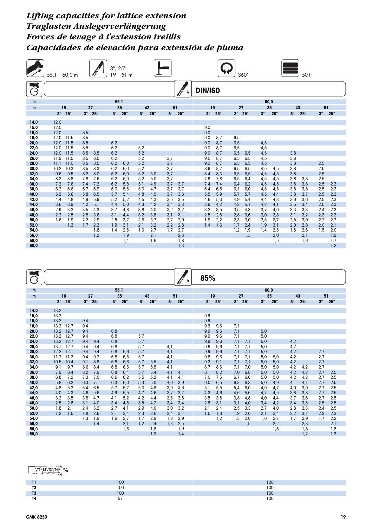## *Lifting capacities for lattice extension Traglasten Auslegerverlängerung Forces de levage à l'extension treillis Capacidades de elevación para extensión de pluma*





|            | $\sim$<br>טע                      | $\sim$<br>טע            |
|------------|-----------------------------------|-------------------------|
| -<br>      | $\overline{100}$<br>∣∪∪           | $\overline{100}$<br>vv  |
| $-1$<br>12 | <b>CONTRACTOR</b><br>$\sim$<br>טע | $\overline{100}$<br>טעו |
| . .<br>. . | $-$                               | $\sim$<br>טע            |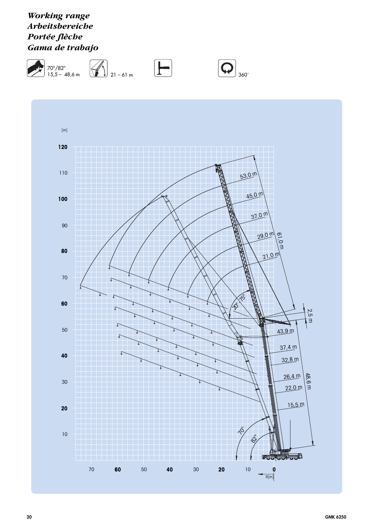## *Working range Arbeitsbereiche Portée flèche Gama de trabajo*

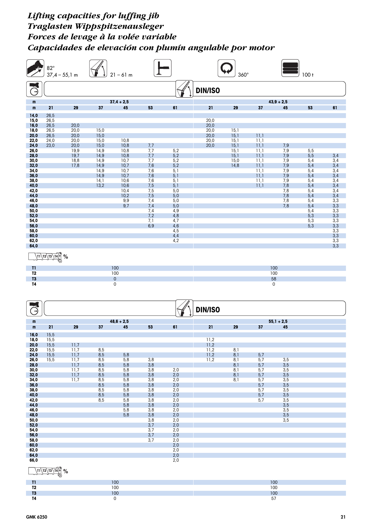|                                                                                                                                                                                                                                 | $82^\circ$<br>$37,4 - 55,1$ m                                                  |                                                                      |                                                                                              | $21 - 61$ m                                                                                                       |                                                                                                                     |                                                                                                                                   |                                              | $360^\circ$                                                  |                                                                                      |                                                                                                | 100t                                                                                                           |                                                                                                                       |
|---------------------------------------------------------------------------------------------------------------------------------------------------------------------------------------------------------------------------------|--------------------------------------------------------------------------------|----------------------------------------------------------------------|----------------------------------------------------------------------------------------------|-------------------------------------------------------------------------------------------------------------------|---------------------------------------------------------------------------------------------------------------------|-----------------------------------------------------------------------------------------------------------------------------------|----------------------------------------------|--------------------------------------------------------------|--------------------------------------------------------------------------------------|------------------------------------------------------------------------------------------------|----------------------------------------------------------------------------------------------------------------|-----------------------------------------------------------------------------------------------------------------------|
| B                                                                                                                                                                                                                               |                                                                                |                                                                      |                                                                                              |                                                                                                                   |                                                                                                                     |                                                                                                                                   | <b>DIN/ISO</b>                               |                                                              |                                                                                      |                                                                                                |                                                                                                                |                                                                                                                       |
| m                                                                                                                                                                                                                               |                                                                                |                                                                      |                                                                                              | $37,4 + 2,5$                                                                                                      |                                                                                                                     |                                                                                                                                   |                                              |                                                              |                                                                                      | $43,9 + 2,5$                                                                                   |                                                                                                                |                                                                                                                       |
| m                                                                                                                                                                                                                               | 21                                                                             | 29                                                                   | 37                                                                                           | 45                                                                                                                | 53                                                                                                                  | 61                                                                                                                                | 21                                           | 29                                                           | 37                                                                                   | 45                                                                                             | 53                                                                                                             | 61                                                                                                                    |
| 14,0<br>15,0<br>16,0<br>18,0<br>20,0<br>22,0<br>24,0<br>26,0<br>28,0<br>30,0<br>32,0<br>34,0<br>36,0<br>38,0<br>40,0<br>42,0<br>44,0<br>46,0<br>48,0<br>50,0<br>52,0<br>54,0<br>56,0<br>58,0<br>60,0<br>62,0<br>64,0<br>$^{11}$ | 26,5<br>26,5<br>26,5<br>26,5<br>26,5<br>24,0<br>23,0<br>$\sqrt{11/12/13/14}$ % | 20,0<br>20,0<br>20,0<br>20,0<br>20,0<br>19,9<br>19,7<br>18,8<br>17,8 | 15,0<br>15,0<br>15,0<br>15,0<br>14,9<br>14,9<br>14,9<br>14,9<br>14,9<br>14,9<br>14,1<br>13,2 | 10,8<br>10,8<br>10,8<br>10,8<br>10,7<br>10,7<br>10,7<br>10,7<br>10,6<br>10,6<br>10,4<br>10,2<br>9,9<br>9,7<br>100 | 7,7<br>7,7<br>7,7<br>7,7<br>7,6<br>7,6<br>7,6<br>7,6<br>7,5<br>7,5<br>7,5<br>7,4<br>7,4<br>7,4<br>7,2<br>7,1<br>6,9 | 5,2<br>5,2<br>5,2<br>5,2<br>5,1<br>5,1<br>5,1<br>5,1<br>5,0<br>5,0<br>5,0<br>5,0<br>4,9<br>4,8<br>4,7<br>4,6<br>4,5<br>4,4<br>4,2 | 20,0<br>20,0<br>20,0<br>20,0<br>20,0<br>20,0 | 15,1<br>15,1<br>15,1<br>15,1<br>15,1<br>15,1<br>15,0<br>14,8 | 11,1<br>11,1<br>11,1<br>11,1<br>11,1<br>11,1<br>11,1<br>11,1<br>11,1<br>11,1<br>11,1 | 7,9<br>7,9<br>7,9<br>7,9<br>7,9<br>7,9<br>7,9<br>7,9<br>7,8<br>7,8<br>7,8<br>7,8<br>7,8<br>100 | $5,5$<br>5,5<br>5,4<br>5,4<br>5,4<br>5,4<br>5,4<br>5,4<br>5,4<br>5,4<br>5,4<br>5,4<br>5,4<br>5,3<br>5,3<br>5,3 | 3,4<br>3,4<br>3,4<br>3,4<br>3,4<br>3,4<br>3,4<br>3,4<br>3,4<br>3,3,3<br>3,3<br>3,3<br>3,3<br>3,3<br>3,3<br>3,3<br>3,3 |
| T <sub>2</sub><br>T <sub>3</sub><br><b>T4</b>                                                                                                                                                                                   |                                                                                |                                                                      |                                                                                              | 100<br>$\mathsf{O}\xspace$<br>$\mathsf 0$                                                                         |                                                                                                                     |                                                                                                                                   |                                              |                                                              |                                                                                      | 100<br>58<br>0                                                                                 |                                                                                                                |                                                                                                                       |
| B                                                                                                                                                                                                                               |                                                                                |                                                                      |                                                                                              |                                                                                                                   |                                                                                                                     |                                                                                                                                   | <b>DIN/ISO</b>                               |                                                              |                                                                                      |                                                                                                |                                                                                                                |                                                                                                                       |
| m<br>m                                                                                                                                                                                                                          | 21                                                                             | 29                                                                   | 37                                                                                           | $48,6 + 2,5$<br>45                                                                                                | 53                                                                                                                  | 61                                                                                                                                | 21                                           | 29                                                           | 37                                                                                   | $55,1 + 2,5$<br>45                                                                             |                                                                                                                |                                                                                                                       |
| 16,0<br>18,0<br>20,0<br>22,0<br>24,0<br>26,0<br>28,0<br>30,0<br>32,0<br>34,0<br>36,0<br>38,0<br>40,0<br>42,0<br>44,0<br>46,0<br>48,0<br>50,0<br>52,0<br>54,0<br>56,0<br>58,0<br>60,0<br>62,0<br>64,0<br>66,0                    | 15,5<br>15,5<br>15,5<br>15,5<br>15,5<br>15,5<br>$\sqrt{11/12/13/14}$           | 11,7<br>11,7<br>11,7<br>11,7<br>11,7<br>11,7<br>11,7<br>11,7<br>$\%$ | $\frac{8,5}{8,5}$<br>8,5<br>8,5<br>8,5<br>8,5<br>$\frac{8,5}{8,5}$<br>8,5<br>8,5<br>8,5      | 5,8<br>5,8<br>5,8<br>5,8<br>5,8<br>$\frac{5,8}{5,8}$<br>5,8<br>5,8<br>5,8<br>5,8<br>5,8<br>5,8                    | 3,8<br>3,8<br>3,8<br>3,8<br>3,8<br>3,8<br>3,8<br>3,8<br>3,8<br>3,8<br>3,8<br>3,8<br>3,8<br>3,7<br>3,7<br>3,7<br>3,7 | 2,0<br>2,0<br>2,0<br>2,0<br>2,0<br>2,0<br>2,0<br>2,0<br>2,0<br>2,0<br>2,0<br>2,0<br>2,0<br>2,0<br>2,0<br>2,0<br>2,0<br>2,0<br>2,0 | 11,2<br>11,2<br>11,2<br>11,2<br>11,2         | 8,1<br>8,1<br>8,1<br>8,1<br>8,1<br>8,1<br>8,1                | 5,7<br>5,7<br>5,7<br>5,7<br>5,7<br>5,7<br>5,7<br>5,7<br>5,7<br>5,7                   | 3,5<br>3,5<br>3,5<br>3,5<br>3,5<br>3,5<br>3,5<br>3,5<br>3,5<br>3,5<br>3,5<br>3,5<br>3,5        |                                                                                                                |                                                                                                                       |

|                       | 100 | 100                             |
|-----------------------|-----|---------------------------------|
| T <sub>2</sub><br>. . | 100 | 100                             |
| T <sub>3</sub>        | 100 | 100                             |
| T4<br>. .             |     | $E \rightarrow$<br>$\mathsf{v}$ |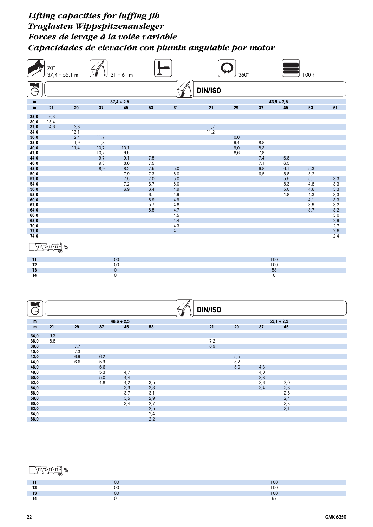|                      | $70^{\circ}$           | $37,4 - 55,1$ m |              | $21 - 61$ m         |            |            |                | $360^\circ$ |              |              | $100 +$    |                |
|----------------------|------------------------|-----------------|--------------|---------------------|------------|------------|----------------|-------------|--------------|--------------|------------|----------------|
| G                    |                        |                 |              |                     |            |            | <b>DIN/ISO</b> |             |              |              |            |                |
|                      |                        |                 |              |                     |            |            |                |             |              |              |            |                |
| ${\bf m}$            |                        |                 |              | $37,4 + 2,5$        |            |            |                |             |              | $43,9 + 2,5$ |            |                |
| ${\bf m}$            | 21                     | 29              | 37           | 45                  | 53         | 61         | 21             | 29          | 37           | 45           | 53         | 61             |
| 28,0<br>30,0         | 16,3<br>15,4           |                 |              |                     |            |            |                |             |              |              |            |                |
| 32,0                 | 14,6                   | 13,8            |              |                     |            |            | 11,7           |             |              |              |            |                |
| 34,0                 |                        | 13,1            |              |                     |            |            | 11,2           |             |              |              |            |                |
| 36,0                 |                        | 12,4            | 11,7         |                     |            |            |                | 10,0        |              |              |            |                |
| 38,0<br>40,0         |                        | 11,9<br>11,4    | 11,3<br>10,7 | 10,1                |            |            |                | 9,4<br>9,0  | 8,8<br>8,3   |              |            |                |
| 42,0                 |                        |                 | 10,2         | 9,6                 |            |            |                | 8,6         | 7,8          |              |            |                |
| 44,0                 |                        |                 | 9,7          | 9,1                 | 7,5        |            |                |             | 7,4          | 6,8          |            |                |
| 46,0<br>48,0         |                        |                 | 9,3<br>8,9   | 8,6<br>8,2          | 7,5<br>7,5 | 5,0        |                |             | 7,1<br>6,8   | 6, 5<br>6,1  | 5,3        |                |
| 50,0                 |                        |                 |              | 7,9                 | 7,3        | 5,0        |                |             | 6, 5         | 5,8          | 5,2        |                |
| 52,0                 |                        |                 |              | 7,5                 | 7,0        | 5,0        |                |             |              | 5,5          | 5,1        | 3,3            |
| 54,0                 |                        |                 |              | 7,2                 | 6,7        | 5,0        |                |             |              | 5,3          | 4,8        | 3,3            |
| 56,0<br>58,0         |                        |                 |              | 6,9                 | 6,4<br>6,1 | 4,9<br>4,9 |                |             |              | 5,0<br>4,8   | 4,6<br>4,3 | 3,3            |
| 60,0                 |                        |                 |              |                     | 5,9        | 4,9        |                |             |              |              | 4,1        | $3,3$<br>$3,3$ |
| 62,0                 |                        |                 |              |                     | 5,7        | 4,8        |                |             |              |              | 3,9        | $3,2$<br>$3,2$ |
| 64,0                 |                        |                 |              |                     | 5,5        | 4,7        |                |             |              |              | 3,7        |                |
| 66,0<br>68,0         |                        |                 |              |                     |            | 4,5<br>4,4 |                |             |              |              |            | 3,0<br>2,9     |
| 70,0                 |                        |                 |              |                     |            | 4,3        |                |             |              |              |            | 2,7            |
| 72,0                 |                        |                 |              |                     |            | 4,1        |                |             |              |              |            | 2,6            |
| 74,0                 |                        |                 |              |                     |            |            |                |             |              |              |            | 2,4            |
|                      | $\sqrt{11/12/13/14}$ % |                 |              |                     |            |            |                |             |              |              |            |                |
|                      |                        |                 |              |                     |            |            |                |             |              |              |            |                |
| T1<br>T <sub>2</sub> |                        |                 |              | 100<br>100          |            |            |                |             | 100<br>100   |              |            |                |
| T <sub>3</sub>       |                        |                 |              | $\pmb{0}$           |            |            |                |             | 58           |              |            |                |
| <b>T4</b>            |                        |                 |              | $\mathsf{O}\xspace$ |            |            |                |             | $\mathsf{O}$ |              |            |                |
|                      |                        |                 |              |                     |            |            |                |             |              |              |            |                |
|                      |                        |                 |              |                     |            |            |                |             |              |              |            |                |
|                      |                        |                 |              |                     |            |            |                |             |              |              |            |                |
| B                    |                        |                 |              |                     |            |            | <b>DIN/ISO</b> |             |              |              |            |                |
| ${\mathsf m}$        |                        |                 |              | $48,6 + 2,5$        |            |            |                |             |              | $55,1 + 2,5$ |            |                |
| ${\bf m}$            | 21                     | 29              | 37           | 45                  | 53         |            | 21             | 29          | 37           | 45           |            |                |
| 34,0                 | $\frac{9,3}{8,8}$      |                 |              |                     |            |            |                |             |              |              |            |                |
| 36,0                 |                        |                 |              |                     |            |            | 7,2            |             |              |              |            |                |
| 38,0<br>40,0         |                        | 7,7<br>7,3      |              |                     |            |            | 6,9            |             |              |              |            |                |
| 42,0                 |                        | 6,9             | 6,2          |                     |            |            |                | 5,5         |              |              |            |                |
| 44,0                 |                        | 6,6             | 5,9          |                     |            |            |                | 5,2         |              |              |            |                |
| 46,0                 |                        |                 | 5,6          |                     |            |            |                | 5,0         | 4,3          |              |            |                |
| 48,0<br>50,0         |                        |                 | 5,3<br>5,0   | 4,7<br>4,4          |            |            |                |             | 4,0<br>3,8   |              |            |                |
| 52,0                 |                        |                 | 4,8          | 4,2                 | 3,5        |            |                |             | 3,6          | $3,0$        |            |                |
| 54,0                 |                        |                 |              | 3,9                 | 3,3        |            |                |             | 3,4          | 2,8          |            |                |
| 56,0                 |                        |                 |              | 3,7                 | 3,1        |            |                |             |              | 2,6          |            |                |
| 58,0<br>60,0         |                        |                 |              | 3,5<br>3,4          | 2,9<br>2,7 |            |                |             |              | 2,4<br>2,3   |            |                |
| 62,0                 |                        |                 |              |                     | 2,5        |            |                |             |              | 2,1          |            |                |

## **T1 T2 T3 T4 %**

**64,0** 2,4 **66,0** 2,2

|             | $\overline{\phantom{a}}$                                                                                                  | $\overline{100}$<br>v                  |
|-------------|---------------------------------------------------------------------------------------------------------------------------|----------------------------------------|
| - -<br>. .  | $\sim$<br>v                                                                                                               | $\overline{100}$<br>u<br>$\sim$ $\sim$ |
| $-1$<br>. . | <b>STATE OF STATE OF STATE OF STATE OF STATE OF STATE OF STATE OF STATE OF STATE OF STATE OF STATE OF STATE</b><br>$\sim$ | $\overline{2}$<br>ישו                  |
|             |                                                                                                                           | --<br>ັ                                |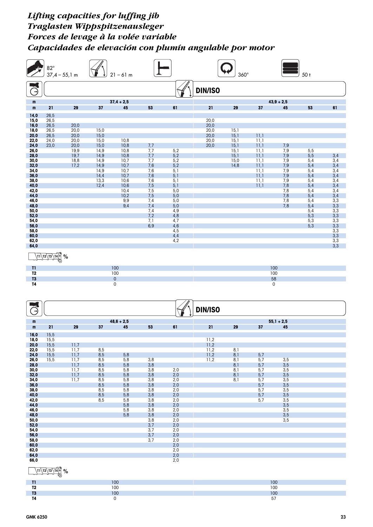|                                                                                                                                                                                                                      | $82^\circ$<br>$37,4 - 55,1$ m                                                  |                                                                      |                                                                                              | $21 - 61$ m                                                                                                |                                                                                                                                |                                                                                                                                   |                                              | $360^\circ$                                                  |                                                                                      |                                                                                             | 50 <sub>t</sub>                                                                                              |                                                                                                                                                         |
|----------------------------------------------------------------------------------------------------------------------------------------------------------------------------------------------------------------------|--------------------------------------------------------------------------------|----------------------------------------------------------------------|----------------------------------------------------------------------------------------------|------------------------------------------------------------------------------------------------------------|--------------------------------------------------------------------------------------------------------------------------------|-----------------------------------------------------------------------------------------------------------------------------------|----------------------------------------------|--------------------------------------------------------------|--------------------------------------------------------------------------------------|---------------------------------------------------------------------------------------------|--------------------------------------------------------------------------------------------------------------|---------------------------------------------------------------------------------------------------------------------------------------------------------|
| B                                                                                                                                                                                                                    |                                                                                |                                                                      |                                                                                              |                                                                                                            |                                                                                                                                |                                                                                                                                   | <b>DIN/ISO</b>                               |                                                              |                                                                                      |                                                                                             |                                                                                                              |                                                                                                                                                         |
| m                                                                                                                                                                                                                    |                                                                                |                                                                      |                                                                                              | $37,4 + 2,5$                                                                                               |                                                                                                                                |                                                                                                                                   |                                              |                                                              |                                                                                      | $43,9 + 2,5$                                                                                |                                                                                                              |                                                                                                                                                         |
| m                                                                                                                                                                                                                    | 21                                                                             | 29                                                                   | 37                                                                                           | 45                                                                                                         | 53                                                                                                                             | 61                                                                                                                                | 21                                           | 29                                                           | 37                                                                                   | 45                                                                                          | 53                                                                                                           | 61                                                                                                                                                      |
| 14,0<br>15,0<br>16,0<br>18,0<br>20,0<br>22,0<br>24,0<br>26,0<br>28,0<br>30,0<br>32,0<br>34,0<br>36,0<br>38,0<br>40,0<br>42,0<br>44,0<br>46,0<br>48,0<br>50,0<br>52,0<br>54,0<br>56,0<br>58,0<br>60,0<br>62,0<br>64,0 | 26,5<br>26,5<br>26,5<br>26,5<br>26,5<br>24,0<br>23,0<br>$\sqrt{11/12/13/14}$ % | 20,0<br>20,0<br>20,0<br>20,0<br>20,0<br>19,9<br>19,7<br>18,8<br>17,2 | 15,0<br>15,0<br>15,0<br>15,0<br>14,9<br>14,9<br>14,9<br>14,9<br>14,9<br>14,4<br>13,3<br>12,4 | 10,8<br>10,8<br>10,8<br>10,8<br>10,7<br>10,7<br>10,7<br>10,7<br>10,6<br>10,6<br>10,4<br>10,2<br>9,9<br>9,4 | 7,7<br>7,7<br>7,7<br>7,7<br>7,6<br>7,6<br>7,6<br>7,6<br>7,5<br>7,5<br>7,5<br>7,4<br>7,4<br>7,4<br>7,2<br>7,1<br>6,9            | 5,2<br>5,2<br>5,2<br>5,2<br>5,1<br>5,1<br>5,1<br>5,1<br>5,0<br>5,0<br>5,0<br>5,0<br>4,9<br>4,8<br>4,7<br>4,6<br>4,5<br>4,4<br>4,2 | 20,0<br>20,0<br>20,0<br>20,0<br>20,0<br>20,0 | 15,1<br>15,1<br>15,1<br>15,1<br>15,1<br>15,1<br>15,0<br>14,8 | 11,1<br>11,1<br>11,1<br>11,1<br>11,1<br>11,1<br>11,1<br>11,1<br>11,1<br>11,1<br>11,1 | 7,9<br>7,9<br>7,9<br>$7,9$<br>$7,9$<br>7,9<br>7,9<br>7,9<br>7,8<br>7,8<br>7,8<br>7,8<br>7,8 | 5,5<br>5,5<br>5,4<br>5,4<br>5,4<br>5,4<br>5,4<br>5,4<br>5,4<br>5,4<br>5,4<br>5,4<br>5,4<br>5,3<br>5,3<br>5,3 | 3,4<br>$3,4$<br>$3,4$<br>3,4<br>3,4<br>3,4<br>3,4<br>$3,4$<br>$3,4$<br>3,3<br>$3,3$<br>$3,3$<br>3,3<br>$3,3$<br>$3,3$<br>$3,3$<br>$3,3$<br>$3,3$<br>3,3 |
| $^{11}$                                                                                                                                                                                                              |                                                                                |                                                                      |                                                                                              | 100                                                                                                        |                                                                                                                                |                                                                                                                                   |                                              |                                                              | 100                                                                                  |                                                                                             |                                                                                                              |                                                                                                                                                         |
| T <sub>2</sub>                                                                                                                                                                                                       |                                                                                |                                                                      |                                                                                              | 100                                                                                                        |                                                                                                                                |                                                                                                                                   |                                              |                                                              | 100                                                                                  |                                                                                             |                                                                                                              |                                                                                                                                                         |
| T <sub>3</sub><br><b>T4</b><br>Э                                                                                                                                                                                     |                                                                                |                                                                      |                                                                                              | $\pmb{0}$<br>0                                                                                             |                                                                                                                                |                                                                                                                                   | <b>DIN/ISO</b>                               |                                                              | 58<br>0                                                                              |                                                                                             |                                                                                                              |                                                                                                                                                         |
| m                                                                                                                                                                                                                    |                                                                                |                                                                      |                                                                                              | $48,6 + 2,5$                                                                                               |                                                                                                                                |                                                                                                                                   |                                              |                                                              |                                                                                      | $55,1 + 2,5$                                                                                |                                                                                                              |                                                                                                                                                         |
| m                                                                                                                                                                                                                    | 21                                                                             | 29                                                                   | 37                                                                                           | 45                                                                                                         | 53                                                                                                                             | 61                                                                                                                                | 21                                           | 29                                                           | 37                                                                                   | 45                                                                                          |                                                                                                              |                                                                                                                                                         |
| 16,0<br>18,0<br>20,0<br>22,0<br>24,0<br>26,0<br>28,0<br>30,0<br>32,0<br>34,0<br>36,0<br>38,0<br>40,0<br>42,0<br>44,0<br>46,0<br>48,0<br>50,0<br>52,0<br>54,0<br>56,0<br>58,0<br>60,0<br>62,0<br>64,0<br>66,0         | 15,5<br>15,5<br>15,5<br>15,5<br>15,5<br>15,5<br>$\sqrt{11/12/13/140}$          | 11,7<br>11,7<br>11,7<br>11,7<br>11,7<br>11,7<br>11,7<br>11,7<br>$\%$ | 8,5<br>8,5<br>$\frac{8,5}{8,5}$<br>8,5<br>8,5<br>8,5<br>8,5<br>$\frac{8,5}{8,5}$<br>8,5      | 5,8<br>$\frac{5}{6}$ , 8<br>5,8<br>5,8<br>5,8<br>5,8<br>$\frac{5}{6}$ , 8<br>5,8<br>5,8<br>5,8<br>5,8      | 3,8<br>3,8<br>3,8<br>3,8<br>3,8<br>3,8<br>$3,8$<br>$3,8$<br>3,8<br>3,8<br>3,8<br>3,8<br>$\frac{3,8}{3,7}$<br>3,7<br>3,7<br>3,7 | 2,0<br>2,0<br>2,0<br>2,0<br>2,0<br>2,0<br>2,0<br>2,0<br>2,0<br>2,0<br>2,0<br>2,0<br>2,0<br>2,0<br>2,0<br>2,0<br>2,0<br>2,0<br>2,0 | 11,2<br>11,2<br>11,2<br>11,2<br>11,2         | 8,1<br>8,1<br>$\frac{8}{8}$ ]<br>8,1<br>8,1<br>8,1           | 5,7<br>$\frac{5}{7}$<br>5,7<br>5,7<br>5,7<br>5,7<br>$\frac{5}{7}$<br>5,7             | 3,5<br>3,5<br>3,5<br>3,5<br>3,5<br>3,5<br>3,5<br>3,5<br>3,5<br>3,5<br>3,5<br>3,5<br>3,5     |                                                                                                              |                                                                                                                                                         |

|                | 100 | 100      |
|----------------|-----|----------|
| T2.<br>        | 100 | 100      |
| T <sub>3</sub> | 100 | 100      |
| T4<br>. .      |     | 57<br>ັັ |
|                |     |          |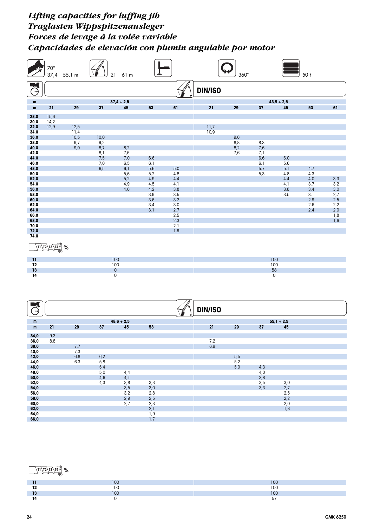|                | $70^{\circ}$<br>$37,4 - 55,1$ m                        |              |            | $21 - 61$ m         |                   |            |                   | $360^\circ$ |            |                    | 50 <sub>t</sub> |                 |
|----------------|--------------------------------------------------------|--------------|------------|---------------------|-------------------|------------|-------------------|-------------|------------|--------------------|-----------------|-----------------|
| Э              |                                                        |              |            |                     |                   |            | <b>DIN/ISO</b>    |             |            |                    |                 |                 |
|                |                                                        |              |            |                     |                   |            |                   |             |            |                    |                 |                 |
| m<br>m         | 21                                                     | 29           | 37         | $37,4 + 2,5$<br>45  | 53                | 61         | 21                | 29          | 37         | $43,9 + 2,5$<br>45 | 53              | 61              |
| 28,0           | 15,6                                                   |              |            |                     |                   |            |                   |             |            |                    |                 |                 |
| 30,0           | 14,2                                                   |              |            |                     |                   |            |                   |             |            |                    |                 |                 |
| 32,0<br>34,0   | 12,9                                                   | 12,5         |            |                     |                   |            | 11,7<br>10,9      |             |            |                    |                 |                 |
| 36,0           |                                                        | 11,4<br>10,5 | 10,0       |                     |                   |            |                   | 9,6         |            |                    |                 |                 |
| 38,0           |                                                        | 9,7          | 9,2        |                     |                   |            |                   | 8,8         | 8,3        |                    |                 |                 |
| 40,0<br>42,0   |                                                        | 9,0          | 8,7<br>8,1 | 8,2<br>7,6          |                   |            |                   | 8,2<br>7,6  | 7,6<br>7,1 |                    |                 |                 |
| 44,0           |                                                        |              | 7,5        | 7,0                 | 6,6               |            |                   |             | 6,6        | 6,0                |                 |                 |
| 46,0<br>48,0   |                                                        |              | 7,0<br>6,5 | 6,5<br>6,1          | 6,1<br>5,6        | 5,0        |                   |             | 6,1<br>5,7 | 5,6<br>5,1         | 4,7             |                 |
| 50,0           |                                                        |              |            | 5,6                 | 5,2               | 4,8        |                   |             | 5,3        | 4,8                | 4,3             |                 |
| 52,0           |                                                        |              |            | 5,2                 | 4,9               | 4,4        |                   |             |            | 4,4                | $4,0$           | 3,3             |
| 54,0<br>56,0   |                                                        |              |            | 4,9<br>4,6          | 4,5<br>4,2        | 4,1<br>3,8 |                   |             |            | 4,1<br>3,8         | 3,7<br>3,4      | 3,2<br>3,0      |
| 58,0           |                                                        |              |            |                     | 3,9               | 3,5        |                   |             |            | 3,5                | 3,1             | $\frac{2}{2,5}$ |
| 60,0<br>62,0   |                                                        |              |            |                     | 3,6<br>3,4        | 3,2<br>3,0 |                   |             |            |                    | 2,9<br>2,6      | 2,2             |
| 64,0           |                                                        |              |            |                     | 3,1               | 2,7        |                   |             |            |                    | 2,4             | 2,0             |
| 66,0<br>68,0   |                                                        |              |            |                     |                   | 2,5<br>2,3 |                   |             |            |                    |                 | 1,8<br>1,6      |
| 70,0           |                                                        |              |            |                     |                   | 2,1        |                   |             |            |                    |                 |                 |
| 72,0<br>74,0   |                                                        |              |            |                     |                   | 1,9        |                   |             |            |                    |                 |                 |
|                |                                                        |              |            |                     |                   |            |                   |             |            |                    |                 |                 |
|                | $\frac{\sqrt{11} \sqrt{12} \sqrt{13} \sqrt{14}}{10}$ % |              |            |                     |                   |            |                   |             |            |                    |                 |                 |
| $^{\text{II}}$ |                                                        |              |            | 100                 |                   |            |                   |             |            | 100                |                 |                 |
| T <sub>2</sub> |                                                        |              |            | 100                 |                   |            |                   |             |            | 100                |                 |                 |
| T3             |                                                        |              |            | $\pmb{0}$           |                   |            |                   |             |            | 58                 |                 |                 |
| T <sub>4</sub> |                                                        |              |            | $\mathsf{O}\xspace$ |                   |            |                   |             |            | 0                  |                 |                 |
|                |                                                        |              |            |                     |                   |            |                   |             |            |                    |                 |                 |
|                |                                                        |              |            |                     |                   |            |                   |             |            |                    |                 |                 |
|                |                                                        |              |            |                     |                   |            |                   |             |            |                    |                 |                 |
| Э              |                                                        |              |            |                     |                   |            | <b>DIN/ISO</b>    |             |            |                    |                 |                 |
| ${\mathsf m}$  |                                                        |              |            | $48,6 + 2,5$        |                   |            |                   |             |            | $55,1 + 2,5$       |                 |                 |
| ${\bf m}$      | 21                                                     | 29           | 37         | 45                  | 53                |            | 21                | 29          | 37         | 45                 |                 |                 |
| 34,0           | 9,3                                                    |              |            |                     |                   |            |                   |             |            |                    |                 |                 |
| 36,0           | 8,8                                                    |              |            |                     |                   |            | $\frac{7,2}{6,9}$ |             |            |                    |                 |                 |
| 38,0           |                                                        | 7,7          |            |                     |                   |            |                   |             |            |                    |                 |                 |
| 40,0<br>42,0   |                                                        | 7,3<br>6,8   | 6,2        |                     |                   |            |                   | 5,5         |            |                    |                 |                 |
| 44,0           |                                                        | 6,3          | 5,8        |                     |                   |            |                   | 5,2         |            |                    |                 |                 |
| 46,0<br>48,0   |                                                        |              | 5,4<br>5,0 | 4,4                 |                   |            |                   | 5,0         | 4,3<br>4,0 |                    |                 |                 |
| 50,0           |                                                        |              | 4,6        | 4,1                 |                   |            |                   |             | 3,8        |                    |                 |                 |
| 52,0<br>54,0   |                                                        |              | 4,3        | $3,8$<br>$3,5$      | $\frac{3,3}{3,0}$ |            |                   |             | 3,5<br>3,3 | $\frac{3,0}{2,7}$  |                 |                 |
| 56,0           |                                                        |              |            |                     |                   |            |                   |             |            |                    |                 |                 |
| 58,0           |                                                        |              |            | $3,2$<br>$2,9$      | $2,8$<br>$2,5$    |            |                   |             |            | $2,5$<br>$2,2$     |                 |                 |
| 60,0<br>62,0   |                                                        |              |            | 2,7                 | $2,3$<br>$2,1$    |            |                   |             |            | $2,0$<br>$1,8$     |                 |                 |
| 64,0           |                                                        |              |            |                     | 1,9               |            |                   |             |            |                    |                 |                 |

## **T1 T2 T3 T4 %**

**66,0** 1,7

|            | $\overline{\phantom{a}}$ | $\overline{\phantom{a}}$   |
|------------|--------------------------|----------------------------|
|            | טע                       | $\mathbf{u}$               |
| -0         | $\overline{100}$<br>vu   | 100<br>טי<br>$\sim$ $\sim$ |
| - -<br>. . | $\sim$<br>1 U J          | $\overline{2}$<br>v        |
| . .        |                          | --                         |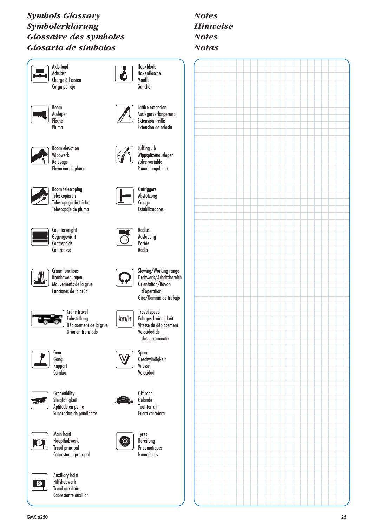## *Symbols Glossary Symbolerklärung Glossaire des symboles Glosario de simbolos*



# *Notes Hinweise Notes Notas*





Boom telescoping Teleskopieren Télescopage de flèche Telescopaje de pluma



**Counterweight** Gegengewicht **Contrepoids Contrapeso** 

Wippwerk Relevage

Boom Ausleger Flèche Pluma

Axle load Achslast

 $\overline{\mathbf{r}}$ 

Carga por eje



Crane functions Kranbewegungen Mouvements de la grue Funciones de la grúa



Crane travel Fahrstellung Déplacement de la grue Grúa en translado



Gear Gang Rapport **Cambio** 



**Gradeability** Steigfähigkeit Aptitude en pente Superacion de pendientes



Main hoist Haupthubwerk Treuil principal Cabrestante principal



Auxiliary hoist Hilfshubwerk Treuil auxiliaire Cabrestante auxiliar